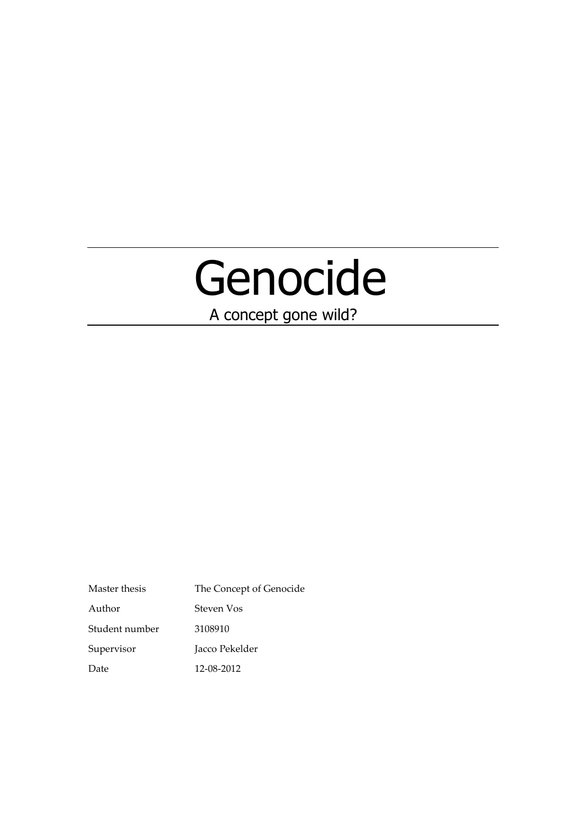# Genocide

A concept gone wild?

Master thesis The Concept of Genocide Author Steven Vos Student number 3108910 Supervisor Jacco Pekelder Date 12-08-2012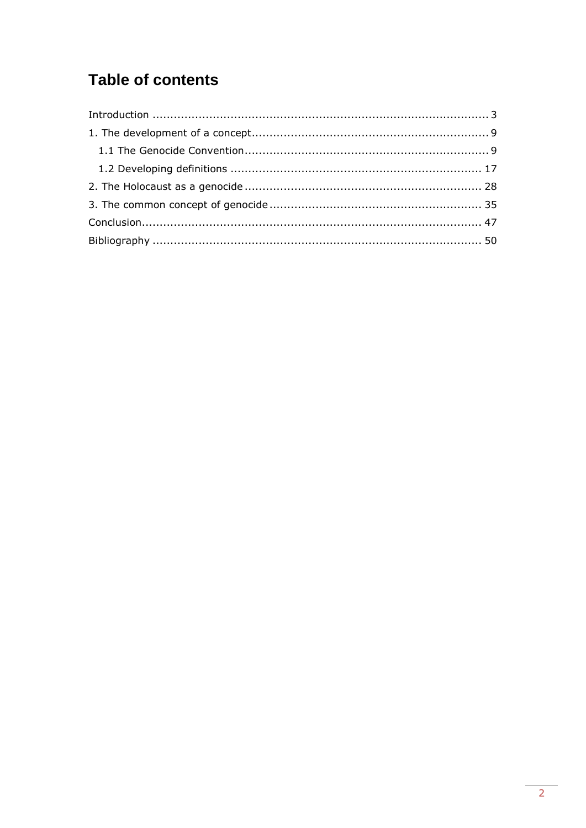# **Table of contents**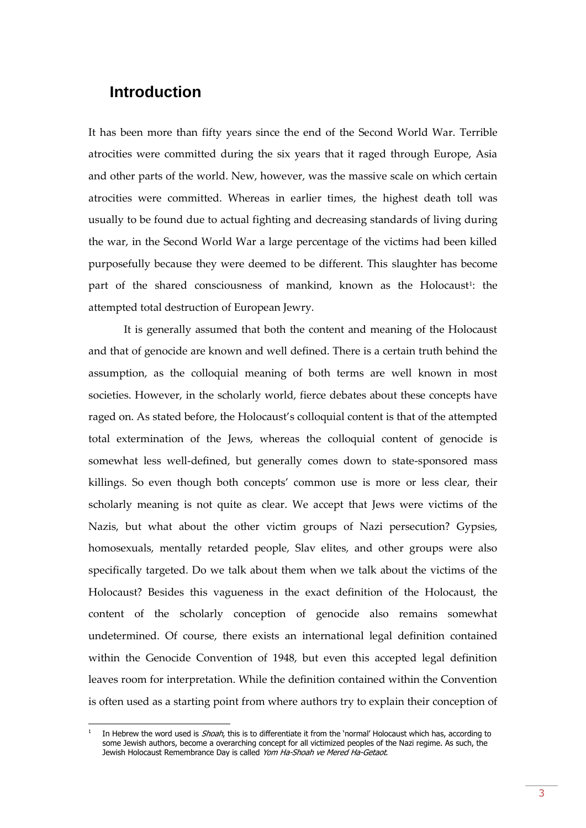## <span id="page-2-0"></span>**Introduction**

1

It has been more than fifty years since the end of the Second World War. Terrible atrocities were committed during the six years that it raged through Europe, Asia and other parts of the world. New, however, was the massive scale on which certain atrocities were committed. Whereas in earlier times, the highest death toll was usually to be found due to actual fighting and decreasing standards of living during the war, in the Second World War a large percentage of the victims had been killed purposefully because they were deemed to be different. This slaughter has become part of the shared consciousness of mankind, known as the Holocaust<sup>1</sup>: the attempted total destruction of European Jewry.

It is generally assumed that both the content and meaning of the Holocaust and that of genocide are known and well defined. There is a certain truth behind the assumption, as the colloquial meaning of both terms are well known in most societies. However, in the scholarly world, fierce debates about these concepts have raged on. As stated before, the Holocaust's colloquial content is that of the attempted total extermination of the Jews, whereas the colloquial content of genocide is somewhat less well-defined, but generally comes down to state-sponsored mass killings. So even though both concepts' common use is more or less clear, their scholarly meaning is not quite as clear. We accept that Jews were victims of the Nazis, but what about the other victim groups of Nazi persecution? Gypsies, homosexuals, mentally retarded people, Slav elites, and other groups were also specifically targeted. Do we talk about them when we talk about the victims of the Holocaust? Besides this vagueness in the exact definition of the Holocaust, the content of the scholarly conception of genocide also remains somewhat undetermined. Of course, there exists an international legal definition contained within the Genocide Convention of 1948, but even this accepted legal definition leaves room for interpretation. While the definition contained within the Convention is often used as a starting point from where authors try to explain their conception of

<sup>1</sup> In Hebrew the word used is Shoah, this is to differentiate it from the 'normal' Holocaust which has, according to some Jewish authors, become a overarching concept for all victimized peoples of the Nazi regime. As such, the Jewish Holocaust Remembrance Day is called Yom Ha-Shoah ve Mered Ha-Getaot.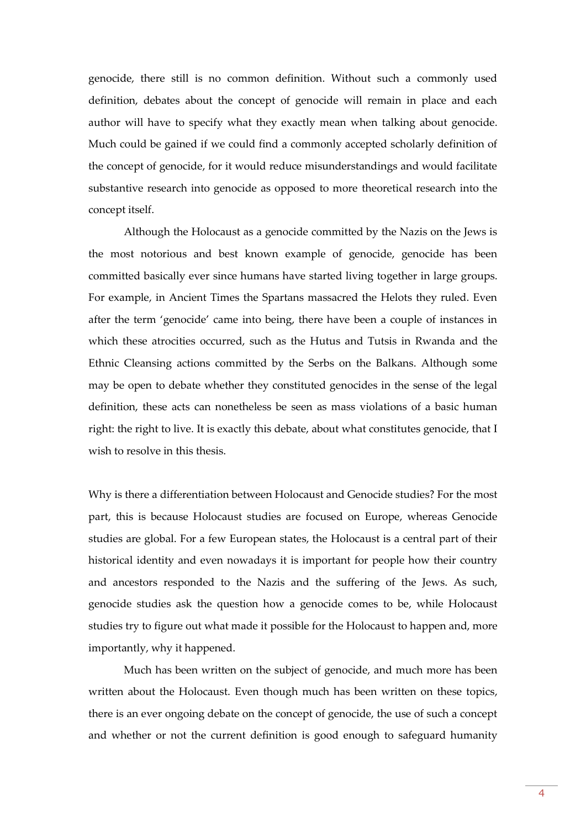genocide, there still is no common definition. Without such a commonly used definition, debates about the concept of genocide will remain in place and each author will have to specify what they exactly mean when talking about genocide. Much could be gained if we could find a commonly accepted scholarly definition of the concept of genocide, for it would reduce misunderstandings and would facilitate substantive research into genocide as opposed to more theoretical research into the concept itself.

Although the Holocaust as a genocide committed by the Nazis on the Jews is the most notorious and best known example of genocide, genocide has been committed basically ever since humans have started living together in large groups. For example, in Ancient Times the Spartans massacred the Helots they ruled. Even after the term 'genocide' came into being, there have been a couple of instances in which these atrocities occurred, such as the Hutus and Tutsis in Rwanda and the Ethnic Cleansing actions committed by the Serbs on the Balkans. Although some may be open to debate whether they constituted genocides in the sense of the legal definition, these acts can nonetheless be seen as mass violations of a basic human right: the right to live. It is exactly this debate, about what constitutes genocide, that I wish to resolve in this thesis.

Why is there a differentiation between Holocaust and Genocide studies? For the most part, this is because Holocaust studies are focused on Europe, whereas Genocide studies are global. For a few European states, the Holocaust is a central part of their historical identity and even nowadays it is important for people how their country and ancestors responded to the Nazis and the suffering of the Jews. As such, genocide studies ask the question how a genocide comes to be, while Holocaust studies try to figure out what made it possible for the Holocaust to happen and, more importantly, why it happened.

Much has been written on the subject of genocide, and much more has been written about the Holocaust. Even though much has been written on these topics, there is an ever ongoing debate on the concept of genocide, the use of such a concept and whether or not the current definition is good enough to safeguard humanity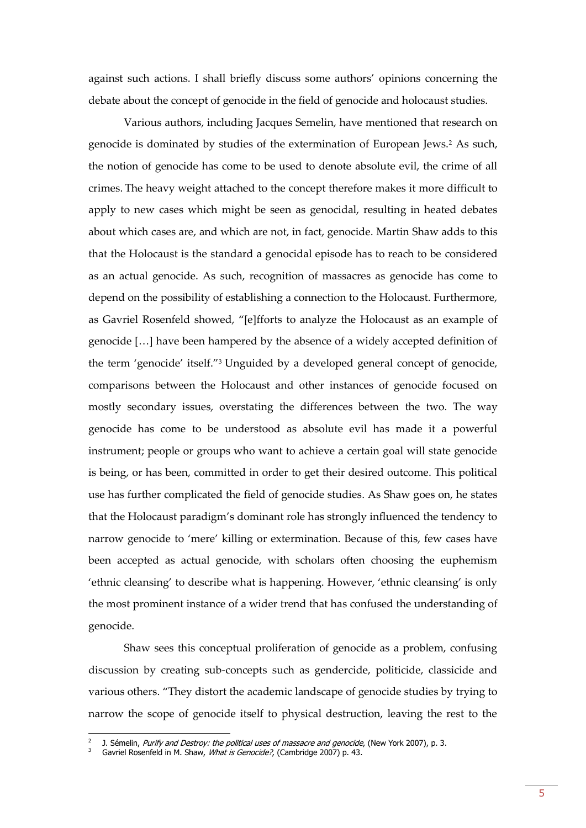against such actions. I shall briefly discuss some authors' opinions concerning the debate about the concept of genocide in the field of genocide and holocaust studies.

Various authors, including Jacques Semelin, have mentioned that research on genocide is dominated by studies of the extermination of European Jews.<sup>2</sup> As such, the notion of genocide has come to be used to denote absolute evil, the crime of all crimes. The heavy weight attached to the concept therefore makes it more difficult to apply to new cases which might be seen as genocidal, resulting in heated debates about which cases are, and which are not, in fact, genocide. Martin Shaw adds to this that the Holocaust is the standard a genocidal episode has to reach to be considered as an actual genocide. As such, recognition of massacres as genocide has come to depend on the possibility of establishing a connection to the Holocaust. Furthermore, as Gavriel Rosenfeld showed, "[e]fforts to analyze the Holocaust as an example of genocide […] have been hampered by the absence of a widely accepted definition of the term 'genocide' itself."<sup>3</sup> Unguided by a developed general concept of genocide, comparisons between the Holocaust and other instances of genocide focused on mostly secondary issues, overstating the differences between the two. The way genocide has come to be understood as absolute evil has made it a powerful instrument; people or groups who want to achieve a certain goal will state genocide is being, or has been, committed in order to get their desired outcome. This political use has further complicated the field of genocide studies. As Shaw goes on, he states that the Holocaust paradigm's dominant role has strongly influenced the tendency to narrow genocide to 'mere' killing or extermination. Because of this, few cases have been accepted as actual genocide, with scholars often choosing the euphemism 'ethnic cleansing' to describe what is happening. However, 'ethnic cleansing' is only the most prominent instance of a wider trend that has confused the understanding of genocide.

Shaw sees this conceptual proliferation of genocide as a problem, confusing discussion by creating sub-concepts such as gendercide, politicide, classicide and various others. "They distort the academic landscape of genocide studies by trying to narrow the scope of genocide itself to physical destruction, leaving the rest to the

<sup>2</sup> J. Sémelin, *Purify and Destroy: the political uses of massacre and genocide*, (New York 2007), p. 3.

<sup>&</sup>lt;sup>3</sup> Gavriel Rosenfeld in M. Shaw, *What is Genocide?*, (Cambridge 2007) p. 43.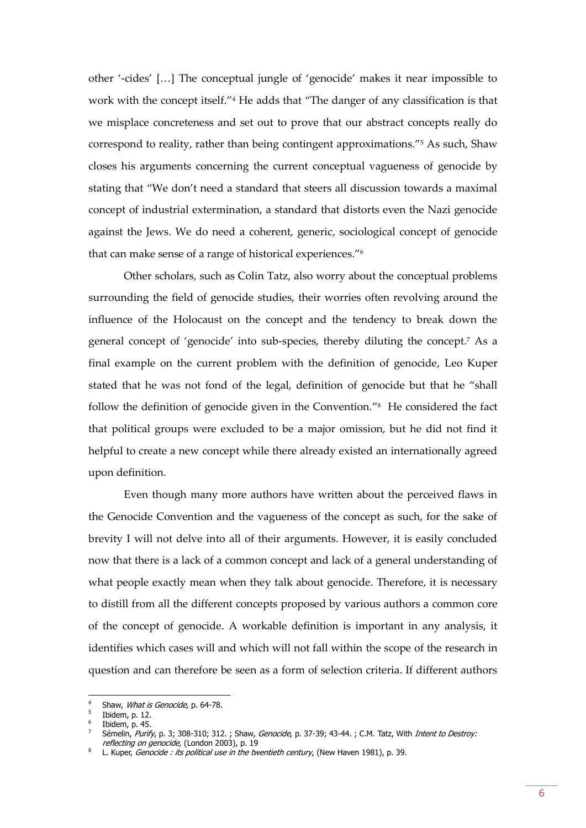other '-cides' […] The conceptual jungle of 'genocide' makes it near impossible to work with the concept itself."<sup>4</sup> He adds that "The danger of any classification is that we misplace concreteness and set out to prove that our abstract concepts really do correspond to reality, rather than being contingent approximations."<sup>5</sup> As such, Shaw closes his arguments concerning the current conceptual vagueness of genocide by stating that "We don't need a standard that steers all discussion towards a maximal concept of industrial extermination, a standard that distorts even the Nazi genocide against the Jews. We do need a coherent, generic, sociological concept of genocide that can make sense of a range of historical experiences."<sup>6</sup>

Other scholars, such as Colin Tatz, also worry about the conceptual problems surrounding the field of genocide studies, their worries often revolving around the influence of the Holocaust on the concept and the tendency to break down the general concept of 'genocide' into sub-species, thereby diluting the concept.<sup>7</sup> As a final example on the current problem with the definition of genocide, Leo Kuper stated that he was not fond of the legal, definition of genocide but that he "shall follow the definition of genocide given in the Convention." <sup>8</sup> He considered the fact that political groups were excluded to be a major omission, but he did not find it helpful to create a new concept while there already existed an internationally agreed upon definition.

Even though many more authors have written about the perceived flaws in the Genocide Convention and the vagueness of the concept as such, for the sake of brevity I will not delve into all of their arguments. However, it is easily concluded now that there is a lack of a common concept and lack of a general understanding of what people exactly mean when they talk about genocide. Therefore, it is necessary to distill from all the different concepts proposed by various authors a common core of the concept of genocide. A workable definition is important in any analysis, it identifies which cases will and which will not fall within the scope of the research in question and can therefore be seen as a form of selection criteria. If different authors

<sup>4</sup> Shaw, What is Genocide, p. 64-78.

<sup>5</sup> Ibidem, p. 12.

<sup>6</sup> Ibidem, p. 45.

<sup>7</sup> Sémelin, Purify, p. 3; 308-310; 312. ; Shaw, Genocide, p. 37-39; 43-44. ; C.M. Tatz, With Intent to Destroy: reflecting on genocide, (London 2003), p. 19

<sup>8</sup> L. Kuper, Genocide : its political use in the twentieth century, (New Haven 1981), p. 39.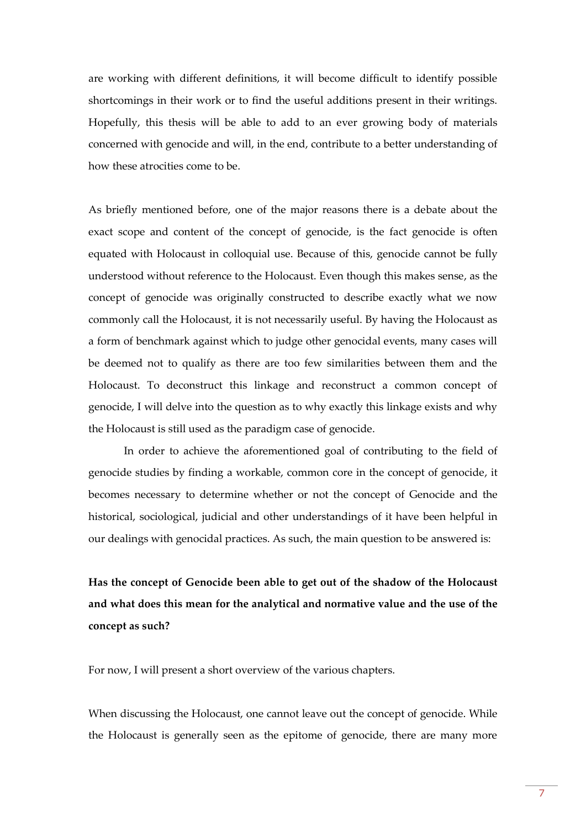are working with different definitions, it will become difficult to identify possible shortcomings in their work or to find the useful additions present in their writings. Hopefully, this thesis will be able to add to an ever growing body of materials concerned with genocide and will, in the end, contribute to a better understanding of how these atrocities come to be.

As briefly mentioned before, one of the major reasons there is a debate about the exact scope and content of the concept of genocide, is the fact genocide is often equated with Holocaust in colloquial use. Because of this, genocide cannot be fully understood without reference to the Holocaust. Even though this makes sense, as the concept of genocide was originally constructed to describe exactly what we now commonly call the Holocaust, it is not necessarily useful. By having the Holocaust as a form of benchmark against which to judge other genocidal events, many cases will be deemed not to qualify as there are too few similarities between them and the Holocaust. To deconstruct this linkage and reconstruct a common concept of genocide, I will delve into the question as to why exactly this linkage exists and why the Holocaust is still used as the paradigm case of genocide.

In order to achieve the aforementioned goal of contributing to the field of genocide studies by finding a workable, common core in the concept of genocide, it becomes necessary to determine whether or not the concept of Genocide and the historical, sociological, judicial and other understandings of it have been helpful in our dealings with genocidal practices. As such, the main question to be answered is:

**Has the concept of Genocide been able to get out of the shadow of the Holocaust and what does this mean for the analytical and normative value and the use of the concept as such?**

For now, I will present a short overview of the various chapters.

When discussing the Holocaust, one cannot leave out the concept of genocide. While the Holocaust is generally seen as the epitome of genocide, there are many more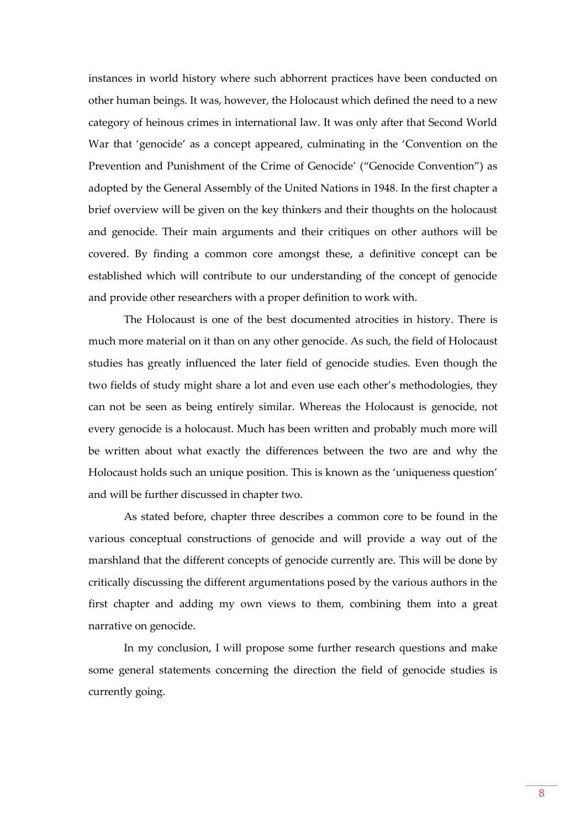instances in world history where such abhorrent practices have been conducted on other human beings. It was, however, the Holocaust which defined the need to a new category of heinous crimes in international law. It was only after that Second World War that 'genocide' as a concept appeared, culminating in the 'Convention on the Prevention and Punishment of the Crime of Genocide' ("Genocide Convention") as adopted by the General Assembly of the United Nations in 1948. In the first chapter a brief overview will be given on the key thinkers and their thoughts on the holocaust and genocide. Their main arguments and their critiques on other authors will be covered. By finding a common core amongst these, a definitive concept can be established which will contribute to our understanding of the concept of genocide and provide other researchers with a proper definition to work with.

The Holocaust is one of the best documented atrocities in history. There is much more material on it than on any other genocide. As such, the field of Holocaust studies has greatly influenced the later field of genocide studies. Even though the two fields of study might share a lot and even use each other's methodologies, they can not be seen as being entirely similar. Whereas the Holocaust is genocide, not every genocide is a holocaust. Much has been written and probably much more will be written about what exactly the differences between the two are and why the Holocaust holds such an unique position. This is known as the 'uniqueness question' and will be further discussed in chapter two.

As stated before, chapter three describes a common core to be found in the various conceptual constructions of genocide and will provide a way out of the marshland that the different concepts of genocide currently are. This will be done by critically discussing the different argumentations posed by the various authors in the first chapter and adding my own views to them, combining them into a great narrative on genocide.

In my conclusion, I will propose some further research questions and make some general statements concerning the direction the field of genocide studies is currently going.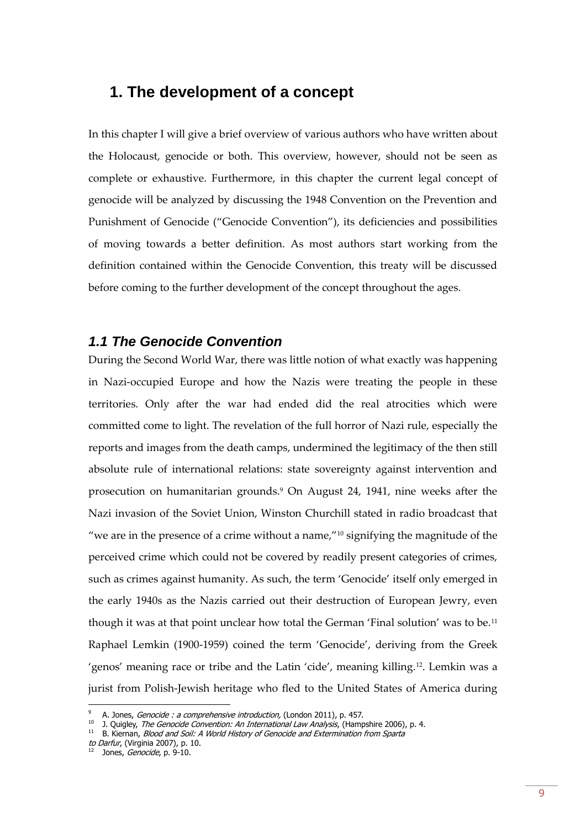## <span id="page-8-0"></span>**1. The development of a concept**

In this chapter I will give a brief overview of various authors who have written about the Holocaust, genocide or both. This overview, however, should not be seen as complete or exhaustive. Furthermore, in this chapter the current legal concept of genocide will be analyzed by discussing the 1948 Convention on the Prevention and Punishment of Genocide ("Genocide Convention"), its deficiencies and possibilities of moving towards a better definition. As most authors start working from the definition contained within the Genocide Convention, this treaty will be discussed before coming to the further development of the concept throughout the ages.

## <span id="page-8-1"></span>*1.1 The Genocide Convention*

During the Second World War, there was little notion of what exactly was happening in Nazi-occupied Europe and how the Nazis were treating the people in these territories. Only after the war had ended did the real atrocities which were committed come to light. The revelation of the full horror of Nazi rule, especially the reports and images from the death camps, undermined the legitimacy of the then still absolute rule of international relations: state sovereignty against intervention and prosecution on humanitarian grounds.<sup>9</sup> On August 24, 1941, nine weeks after the Nazi invasion of the Soviet Union, Winston Churchill stated in radio broadcast that "we are in the presence of a crime without a name,"<sup>10</sup> signifying the magnitude of the perceived crime which could not be covered by readily present categories of crimes, such as crimes against humanity. As such, the term 'Genocide' itself only emerged in the early 1940s as the Nazis carried out their destruction of European Jewry, even though it was at that point unclear how total the German 'Final solution' was to be.<sup>11</sup> Raphael Lemkin (1900-1959) coined the term 'Genocide', deriving from the Greek 'genos' meaning race or tribe and the Latin 'cide', meaning killing.12. Lemkin was a jurist from Polish-Jewish heritage who fled to the United States of America during

A. Jones, Genocide : a comprehensive introduction, (London 2011), p. 457.

<sup>&</sup>lt;sup>10</sup> J. Quigley, *The Genocide Convention: An International Law Analysis*, (Hampshire 2006), p. 4.

<sup>11</sup> B. Kiernan, Blood and Soil: A World History of Genocide and Extermination from Sparta

to Darfur, (Virginia 2007), p. 10.

Jones, Genocide, p. 9-10.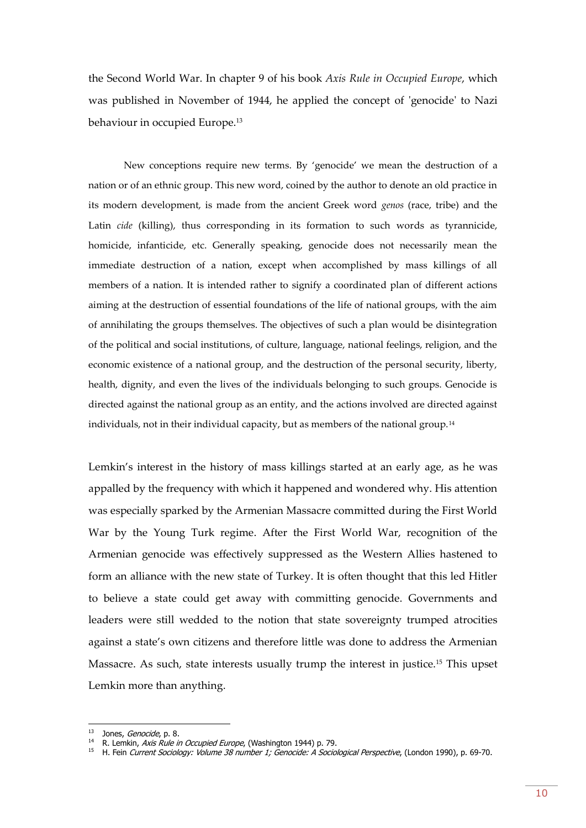the Second World War. In chapter 9 of his book *Axis Rule in Occupied Europe*, which was published in November of 1944, he applied the concept of 'genocide' to Nazi behaviour in occupied Europe.<sup>13</sup>

New conceptions require new terms. By 'genocide' we mean the destruction of a nation or of an ethnic group. This new word, coined by the author to denote an old practice in its modern development, is made from the ancient Greek word *genos* (race, tribe) and the Latin *cide* (killing), thus corresponding in its formation to such words as tyrannicide, homicide, infanticide, etc. Generally speaking, genocide does not necessarily mean the immediate destruction of a nation, except when accomplished by mass killings of all members of a nation. It is intended rather to signify a coordinated plan of different actions aiming at the destruction of essential foundations of the life of national groups, with the aim of annihilating the groups themselves. The objectives of such a plan would be disintegration of the political and social institutions, of culture, language, national feelings, religion, and the economic existence of a national group, and the destruction of the personal security, liberty, health, dignity, and even the lives of the individuals belonging to such groups. Genocide is directed against the national group as an entity, and the actions involved are directed against individuals, not in their individual capacity, but as members of the national group.<sup>14</sup>

Lemkin's interest in the history of mass killings started at an early age, as he was appalled by the frequency with which it happened and wondered why. His attention was especially sparked by the Armenian Massacre committed during the First World War by the Young Turk regime. After the First World War, recognition of the Armenian genocide was effectively suppressed as the Western Allies hastened to form an alliance with the new state of Turkey. It is often thought that this led Hitler to believe a state could get away with committing genocide. Governments and leaders were still wedded to the notion that state sovereignty trumped atrocities against a state's own citizens and therefore little was done to address the Armenian Massacre. As such, state interests usually trump the interest in justice.<sup>15</sup> This upset Lemkin more than anything.

<sup>&</sup>lt;sup>13</sup> Jones, *Genocide*, p. 8.

<sup>&</sup>lt;sup>14</sup> R. Lemkin, *Axis Rule in Occupied Europe*, (Washington 1944) p. 79.

<sup>&</sup>lt;sup>15</sup> H. Fein Current Sociology: Volume 38 number 1; Genocide: A Sociological Perspective, (London 1990), p. 69-70.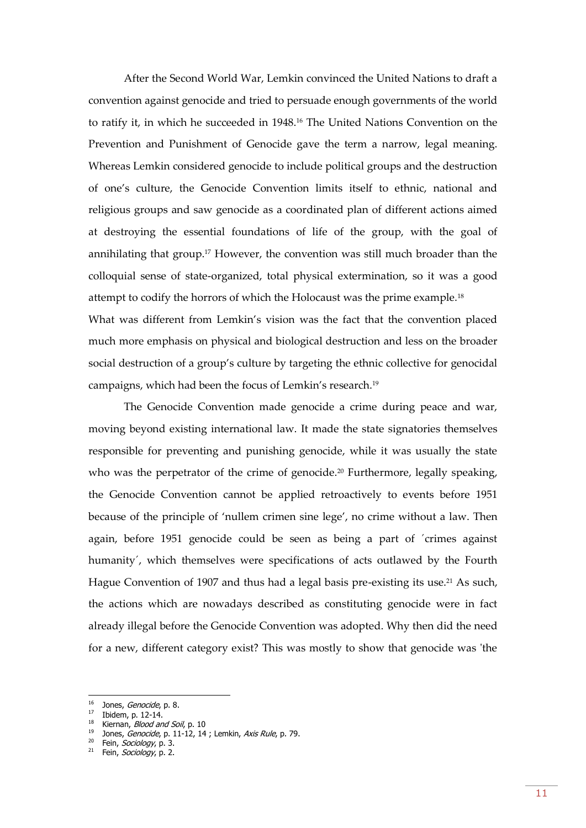After the Second World War, Lemkin convinced the United Nations to draft a convention against genocide and tried to persuade enough governments of the world to ratify it, in which he succeeded in 1948.<sup>16</sup> The United Nations Convention on the Prevention and Punishment of Genocide gave the term a narrow, legal meaning. Whereas Lemkin considered genocide to include political groups and the destruction of one's culture, the Genocide Convention limits itself to ethnic, national and religious groups and saw genocide as a coordinated plan of different actions aimed at destroying the essential foundations of life of the group, with the goal of annihilating that group.<sup>17</sup> However, the convention was still much broader than the colloquial sense of state-organized, total physical extermination, so it was a good attempt to codify the horrors of which the Holocaust was the prime example.<sup>18</sup>

What was different from Lemkin's vision was the fact that the convention placed much more emphasis on physical and biological destruction and less on the broader social destruction of a group's culture by targeting the ethnic collective for genocidal campaigns, which had been the focus of Lemkin's research.<sup>19</sup>

The Genocide Convention made genocide a crime during peace and war, moving beyond existing international law. It made the state signatories themselves responsible for preventing and punishing genocide, while it was usually the state who was the perpetrator of the crime of genocide.<sup>20</sup> Furthermore, legally speaking, the Genocide Convention cannot be applied retroactively to events before 1951 because of the principle of 'nullem crimen sine lege', no crime without a law. Then again, before 1951 genocide could be seen as being a part of ´crimes against humanity´, which themselves were specifications of acts outlawed by the Fourth Hague Convention of 1907 and thus had a legal basis pre-existing its use.<sup>21</sup> As such, the actions which are nowadays described as constituting genocide were in fact already illegal before the Genocide Convention was adopted. Why then did the need for a new, different category exist? This was mostly to show that genocide was 'the

<sup>&</sup>lt;sup>16</sup> Jones, *Genocide*, p. 8.

 $17$  Ibidem, p. 12-14.

<sup>&</sup>lt;sup>18</sup> Kiernan, *Blood and Soil*, p. 10

<sup>&</sup>lt;sup>19</sup> Jones, *Genocide*, p. 11-12, 14; Lemkin, Axis Rule, p. 79.

<sup>&</sup>lt;sup>20</sup> Fein, *Sociology*, p. 3.

 $21$  Fein, *Sociology*, p. 2.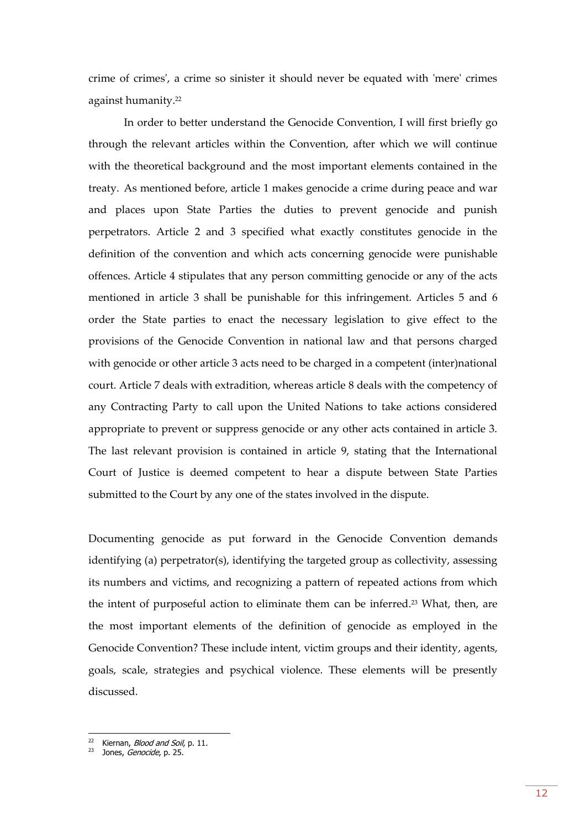crime of crimes', a crime so sinister it should never be equated with 'mere' crimes against humanity.<sup>22</sup>

In order to better understand the Genocide Convention, I will first briefly go through the relevant articles within the Convention, after which we will continue with the theoretical background and the most important elements contained in the treaty. As mentioned before, article 1 makes genocide a crime during peace and war and places upon State Parties the duties to prevent genocide and punish perpetrators. Article 2 and 3 specified what exactly constitutes genocide in the definition of the convention and which acts concerning genocide were punishable offences. Article 4 stipulates that any person committing genocide or any of the acts mentioned in article 3 shall be punishable for this infringement. Articles 5 and 6 order the State parties to enact the necessary legislation to give effect to the provisions of the Genocide Convention in national law and that persons charged with genocide or other article 3 acts need to be charged in a competent (inter)national court. Article 7 deals with extradition, whereas article 8 deals with the competency of any Contracting Party to call upon the United Nations to take actions considered appropriate to prevent or suppress genocide or any other acts contained in article 3. The last relevant provision is contained in article 9, stating that the International Court of Justice is deemed competent to hear a dispute between State Parties submitted to the Court by any one of the states involved in the dispute.

Documenting genocide as put forward in the Genocide Convention demands identifying (a) perpetrator(s), identifying the targeted group as collectivity, assessing its numbers and victims, and recognizing a pattern of repeated actions from which the intent of purposeful action to eliminate them can be inferred. <sup>23</sup> What, then, are the most important elements of the definition of genocide as employed in the Genocide Convention? These include intent, victim groups and their identity, agents, goals, scale, strategies and psychical violence. These elements will be presently discussed.

<sup>&</sup>lt;sup>22</sup> Kiernan, *Blood and Soil*, p. 11.

<sup>&</sup>lt;sup>23</sup> Jones, *Genocide*, p. 25.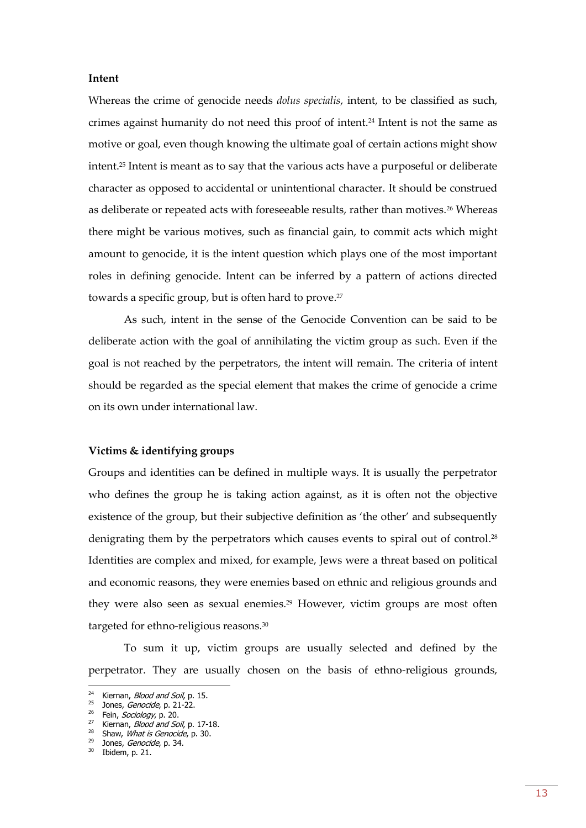#### **Intent**

Whereas the crime of genocide needs *dolus specialis*, intent, to be classified as such, crimes against humanity do not need this proof of intent.<sup>24</sup> Intent is not the same as motive or goal, even though knowing the ultimate goal of certain actions might show intent. <sup>25</sup> Intent is meant as to say that the various acts have a purposeful or deliberate character as opposed to accidental or unintentional character. It should be construed as deliberate or repeated acts with foreseeable results, rather than motives.<sup>26</sup> Whereas there might be various motives, such as financial gain, to commit acts which might amount to genocide, it is the intent question which plays one of the most important roles in defining genocide. Intent can be inferred by a pattern of actions directed towards a specific group, but is often hard to prove. 27

As such, intent in the sense of the Genocide Convention can be said to be deliberate action with the goal of annihilating the victim group as such. Even if the goal is not reached by the perpetrators, the intent will remain. The criteria of intent should be regarded as the special element that makes the crime of genocide a crime on its own under international law.

#### **Victims & identifying groups**

Groups and identities can be defined in multiple ways. It is usually the perpetrator who defines the group he is taking action against, as it is often not the objective existence of the group, but their subjective definition as 'the other' and subsequently denigrating them by the perpetrators which causes events to spiral out of control.<sup>28</sup> Identities are complex and mixed, for example, Jews were a threat based on political and economic reasons, they were enemies based on ethnic and religious grounds and they were also seen as sexual enemies.<sup>29</sup> However, victim groups are most often targeted for ethno-religious reasons.<sup>30</sup>

To sum it up, victim groups are usually selected and defined by the perpetrator. They are usually chosen on the basis of ethno-religious grounds,

-

<sup>&</sup>lt;sup>24</sup> Kiernan, *Blood and Soil*, p. 15.

<sup>&</sup>lt;sup>25</sup> Jones, *Genocide*, p. 21-22.

<sup>&</sup>lt;sup>26</sup> Fein, Sociology, p. 20.

<sup>&</sup>lt;sup>27</sup> Kiernan, *Blood and Soil*, p. 17-18.

<sup>&</sup>lt;sup>28</sup> Shaw, *What is Genocide*, p. 30.

 $29$  Jones, *Genocide*, p. 34.

<sup>30</sup> Ibidem, p. 21.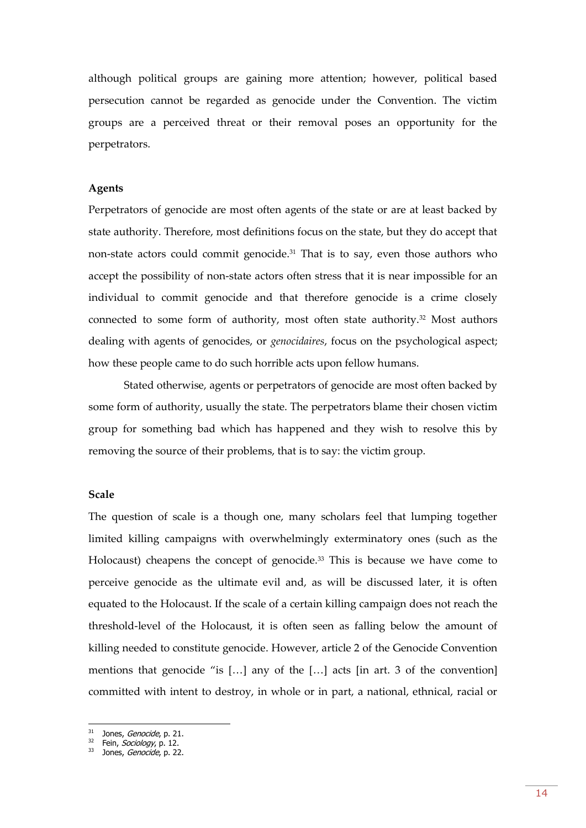although political groups are gaining more attention; however, political based persecution cannot be regarded as genocide under the Convention. The victim groups are a perceived threat or their removal poses an opportunity for the perpetrators.

#### **Agents**

Perpetrators of genocide are most often agents of the state or are at least backed by state authority. Therefore, most definitions focus on the state, but they do accept that non-state actors could commit genocide.<sup>31</sup> That is to say, even those authors who accept the possibility of non-state actors often stress that it is near impossible for an individual to commit genocide and that therefore genocide is a crime closely connected to some form of authority, most often state authority.<sup>32</sup> Most authors dealing with agents of genocides, or *genocidaires*, focus on the psychological aspect; how these people came to do such horrible acts upon fellow humans.

Stated otherwise, agents or perpetrators of genocide are most often backed by some form of authority, usually the state. The perpetrators blame their chosen victim group for something bad which has happened and they wish to resolve this by removing the source of their problems, that is to say: the victim group.

#### **Scale**

The question of scale is a though one, many scholars feel that lumping together limited killing campaigns with overwhelmingly exterminatory ones (such as the Holocaust) cheapens the concept of genocide.<sup>33</sup> This is because we have come to perceive genocide as the ultimate evil and, as will be discussed later, it is often equated to the Holocaust. If the scale of a certain killing campaign does not reach the threshold-level of the Holocaust, it is often seen as falling below the amount of killing needed to constitute genocide. However, article 2 of the Genocide Convention mentions that genocide "is […] any of the […] acts [in art. 3 of the convention] committed with intent to destroy, in whole or in part, a national, ethnical, racial or

<sup>&</sup>lt;sup>31</sup> Jones, *Genocide*, p. 21.

<sup>&</sup>lt;sup>32</sup> Fein, Sociology, p. 12.

<sup>33</sup> Jones, Genocide, p. 22.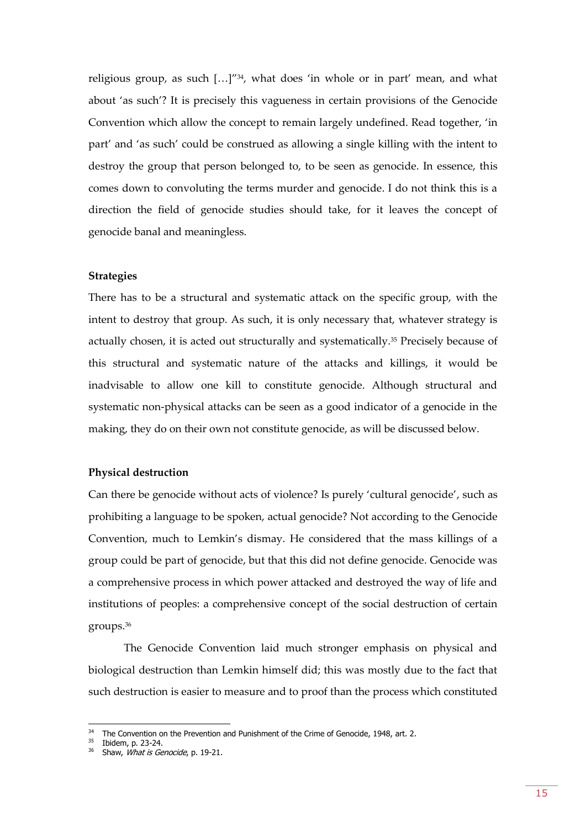religious group, as such  $\left[\ldots\right]^{1/34}$ , what does 'in whole or in part' mean, and what about 'as such'? It is precisely this vagueness in certain provisions of the Genocide Convention which allow the concept to remain largely undefined. Read together, 'in part' and 'as such' could be construed as allowing a single killing with the intent to destroy the group that person belonged to, to be seen as genocide. In essence, this comes down to convoluting the terms murder and genocide. I do not think this is a direction the field of genocide studies should take, for it leaves the concept of genocide banal and meaningless.

#### **Strategies**

There has to be a structural and systematic attack on the specific group, with the intent to destroy that group. As such, it is only necessary that, whatever strategy is actually chosen, it is acted out structurally and systematically.<sup>35</sup> Precisely because of this structural and systematic nature of the attacks and killings, it would be inadvisable to allow one kill to constitute genocide. Although structural and systematic non-physical attacks can be seen as a good indicator of a genocide in the making, they do on their own not constitute genocide, as will be discussed below.

#### **Physical destruction**

Can there be genocide without acts of violence? Is purely 'cultural genocide', such as prohibiting a language to be spoken, actual genocide? Not according to the Genocide Convention, much to Lemkin's dismay. He considered that the mass killings of a group could be part of genocide, but that this did not define genocide. Genocide was a comprehensive process in which power attacked and destroyed the way of life and institutions of peoples: a comprehensive concept of the social destruction of certain groups.<sup>36</sup>

The Genocide Convention laid much stronger emphasis on physical and biological destruction than Lemkin himself did; this was mostly due to the fact that such destruction is easier to measure and to proof than the process which constituted

 $34$  The Convention on the Prevention and Punishment of the Crime of Genocide, 1948, art. 2.

<sup>35</sup> Ibidem, p. 23-24.

<sup>&</sup>lt;sup>36</sup> Shaw, *What is Genocide*, p. 19-21.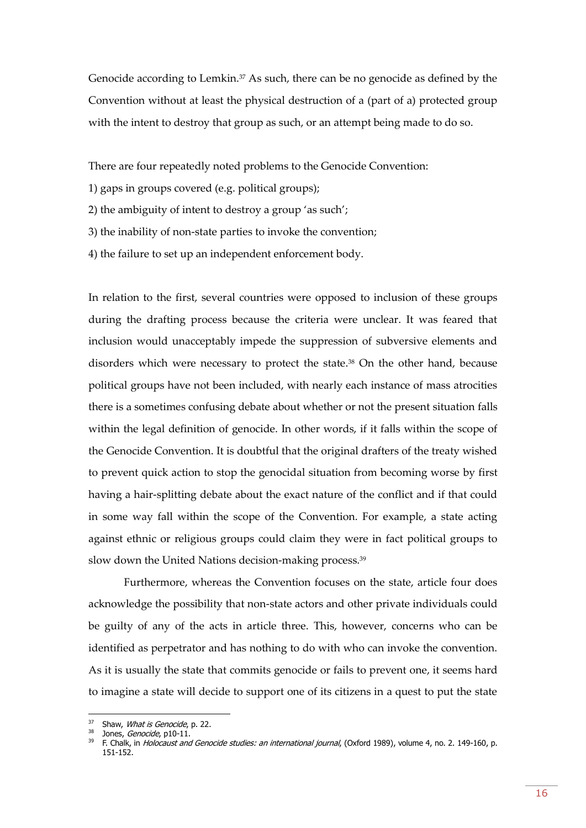Genocide according to Lemkin.<sup>37</sup> As such, there can be no genocide as defined by the Convention without at least the physical destruction of a (part of a) protected group with the intent to destroy that group as such, or an attempt being made to do so.

There are four repeatedly noted problems to the Genocide Convention:

- 1) gaps in groups covered (e.g. political groups);
- 2) the ambiguity of intent to destroy a group 'as such';
- 3) the inability of non-state parties to invoke the convention;
- 4) the failure to set up an independent enforcement body.

In relation to the first, several countries were opposed to inclusion of these groups during the drafting process because the criteria were unclear. It was feared that inclusion would unacceptably impede the suppression of subversive elements and disorders which were necessary to protect the state.<sup>38</sup> On the other hand, because political groups have not been included, with nearly each instance of mass atrocities there is a sometimes confusing debate about whether or not the present situation falls within the legal definition of genocide. In other words, if it falls within the scope of the Genocide Convention. It is doubtful that the original drafters of the treaty wished to prevent quick action to stop the genocidal situation from becoming worse by first having a hair-splitting debate about the exact nature of the conflict and if that could in some way fall within the scope of the Convention. For example, a state acting against ethnic or religious groups could claim they were in fact political groups to slow down the United Nations decision-making process.<sup>39</sup>

Furthermore, whereas the Convention focuses on the state, article four does acknowledge the possibility that non-state actors and other private individuals could be guilty of any of the acts in article three. This, however, concerns who can be identified as perpetrator and has nothing to do with who can invoke the convention. As it is usually the state that commits genocide or fails to prevent one, it seems hard to imagine a state will decide to support one of its citizens in a quest to put the state

<sup>&</sup>lt;sup>37</sup> Shaw, *What is Genocide*, p. 22.

<sup>38</sup> Jones, *Genocide*, p10-11.

<sup>&</sup>lt;sup>39</sup> F. Chalk, in *Holocaust and Genocide studies: an international journal*, (Oxford 1989), volume 4, no. 2. 149-160, p. 151-152.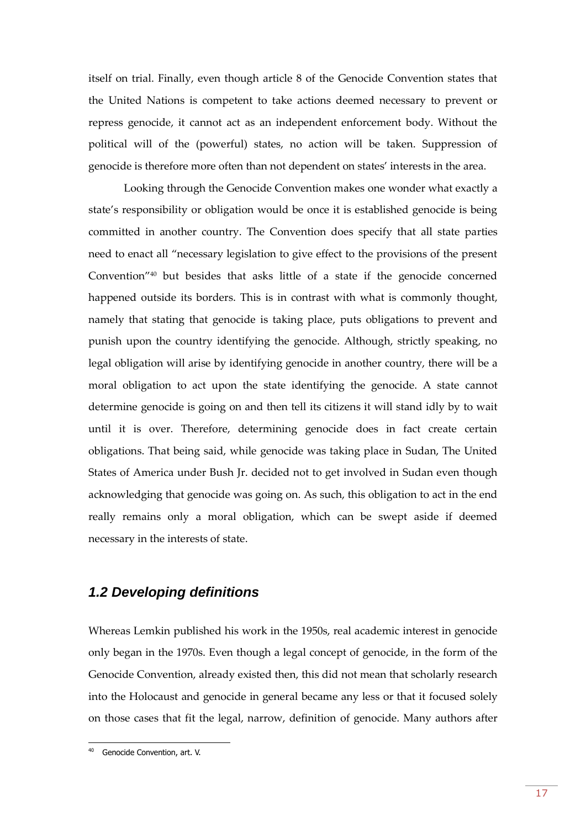itself on trial. Finally, even though article 8 of the Genocide Convention states that the United Nations is competent to take actions deemed necessary to prevent or repress genocide, it cannot act as an independent enforcement body. Without the political will of the (powerful) states, no action will be taken. Suppression of genocide is therefore more often than not dependent on states' interests in the area.

Looking through the Genocide Convention makes one wonder what exactly a state's responsibility or obligation would be once it is established genocide is being committed in another country. The Convention does specify that all state parties need to enact all "necessary legislation to give effect to the provisions of the present Convention"<sup>40</sup> but besides that asks little of a state if the genocide concerned happened outside its borders. This is in contrast with what is commonly thought, namely that stating that genocide is taking place, puts obligations to prevent and punish upon the country identifying the genocide. Although, strictly speaking, no legal obligation will arise by identifying genocide in another country, there will be a moral obligation to act upon the state identifying the genocide. A state cannot determine genocide is going on and then tell its citizens it will stand idly by to wait until it is over. Therefore, determining genocide does in fact create certain obligations. That being said, while genocide was taking place in Sudan, The United States of America under Bush Jr. decided not to get involved in Sudan even though acknowledging that genocide was going on. As such, this obligation to act in the end really remains only a moral obligation, which can be swept aside if deemed necessary in the interests of state.

### <span id="page-16-0"></span>*1.2 Developing definitions*

Whereas Lemkin published his work in the 1950s, real academic interest in genocide only began in the 1970s. Even though a legal concept of genocide, in the form of the Genocide Convention, already existed then, this did not mean that scholarly research into the Holocaust and genocide in general became any less or that it focused solely on those cases that fit the legal, narrow, definition of genocide. Many authors after

Genocide Convention, art. V.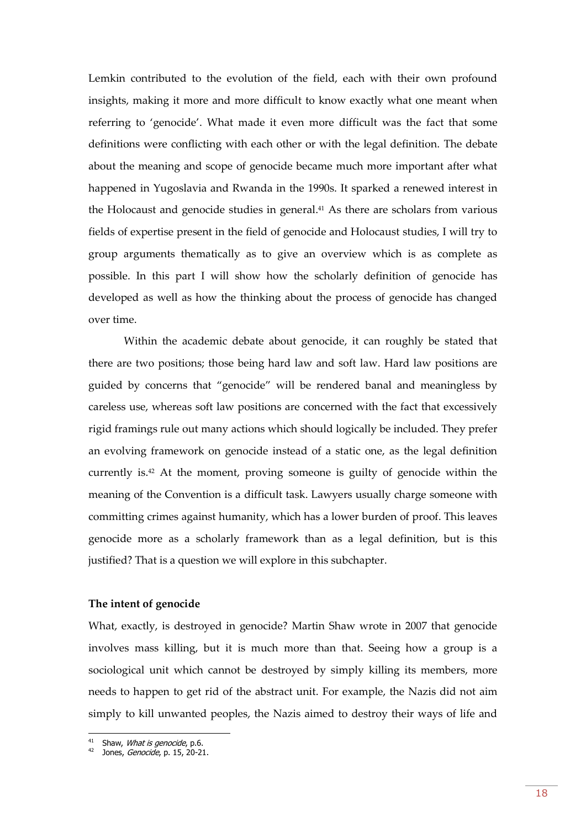Lemkin contributed to the evolution of the field, each with their own profound insights, making it more and more difficult to know exactly what one meant when referring to 'genocide'. What made it even more difficult was the fact that some definitions were conflicting with each other or with the legal definition. The debate about the meaning and scope of genocide became much more important after what happened in Yugoslavia and Rwanda in the 1990s. It sparked a renewed interest in the Holocaust and genocide studies in general. <sup>41</sup> As there are scholars from various fields of expertise present in the field of genocide and Holocaust studies, I will try to group arguments thematically as to give an overview which is as complete as possible. In this part I will show how the scholarly definition of genocide has developed as well as how the thinking about the process of genocide has changed over time.

Within the academic debate about genocide, it can roughly be stated that there are two positions; those being hard law and soft law. Hard law positions are guided by concerns that "genocide" will be rendered banal and meaningless by careless use, whereas soft law positions are concerned with the fact that excessively rigid framings rule out many actions which should logically be included. They prefer an evolving framework on genocide instead of a static one, as the legal definition currently is.<sup>42</sup> At the moment, proving someone is guilty of genocide within the meaning of the Convention is a difficult task. Lawyers usually charge someone with committing crimes against humanity, which has a lower burden of proof. This leaves genocide more as a scholarly framework than as a legal definition, but is this justified? That is a question we will explore in this subchapter.

#### **The intent of genocide**

What, exactly, is destroyed in genocide? Martin Shaw wrote in 2007 that genocide involves mass killing, but it is much more than that. Seeing how a group is a sociological unit which cannot be destroyed by simply killing its members, more needs to happen to get rid of the abstract unit. For example, the Nazis did not aim simply to kill unwanted peoples, the Nazis aimed to destroy their ways of life and

<sup>&</sup>lt;sup>41</sup> Shaw, *What is genocide*, p.6.

<sup>&</sup>lt;sup>42</sup> Jones, *Genocide*, p. 15, 20-21.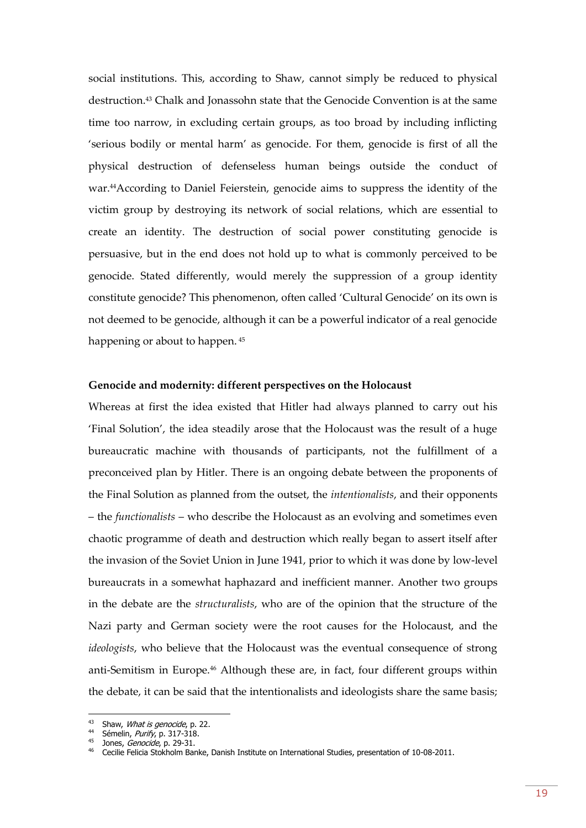social institutions. This, according to Shaw, cannot simply be reduced to physical destruction.<sup>43</sup> Chalk and Jonassohn state that the Genocide Convention is at the same time too narrow, in excluding certain groups, as too broad by including inflicting 'serious bodily or mental harm' as genocide. For them, genocide is first of all the physical destruction of defenseless human beings outside the conduct of war.44According to Daniel Feierstein, genocide aims to suppress the identity of the victim group by destroying its network of social relations, which are essential to create an identity. The destruction of social power constituting genocide is persuasive, but in the end does not hold up to what is commonly perceived to be genocide. Stated differently, would merely the suppression of a group identity constitute genocide? This phenomenon, often called 'Cultural Genocide' on its own is not deemed to be genocide, although it can be a powerful indicator of a real genocide happening or about to happen.<sup>45</sup>

#### **Genocide and modernity: different perspectives on the Holocaust**

Whereas at first the idea existed that Hitler had always planned to carry out his 'Final Solution', the idea steadily arose that the Holocaust was the result of a huge bureaucratic machine with thousands of participants, not the fulfillment of a preconceived plan by Hitler. There is an ongoing debate between the proponents of the Final Solution as planned from the outset, the *intentionalists*, and their opponents – the *functionalists* – who describe the Holocaust as an evolving and sometimes even chaotic programme of death and destruction which really began to assert itself after the invasion of the Soviet Union in June 1941, prior to which it was done by low-level bureaucrats in a somewhat haphazard and inefficient manner. Another two groups in the debate are the *structuralists*, who are of the opinion that the structure of the Nazi party and German society were the root causes for the Holocaust, and the *ideologists*, who believe that the Holocaust was the eventual consequence of strong anti-Semitism in Europe.<sup>46</sup> Although these are, in fact, four different groups within the debate, it can be said that the intentionalists and ideologists share the same basis;

<sup>&</sup>lt;sup>43</sup> Shaw, *What is genocide*, p. 22.

 $44$  Sémelin, *Purify*, p. 317-318.

<sup>45</sup> Jones, Genocide, p. 29-31.

<sup>46</sup> Cecilie Felicia Stokholm Banke, Danish Institute on International Studies, presentation of 10-08-2011.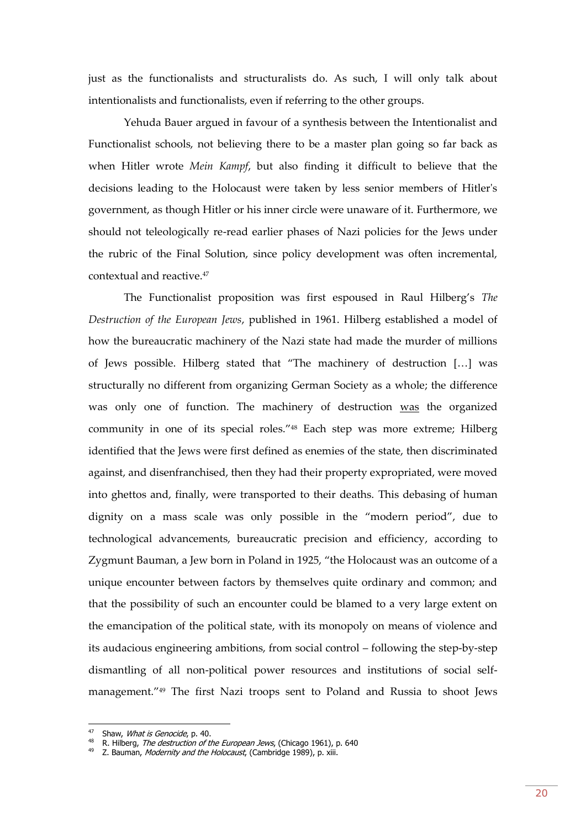just as the functionalists and structuralists do. As such, I will only talk about intentionalists and functionalists, even if referring to the other groups.

Yehuda Bauer argued in favour of a synthesis between the Intentionalist and Functionalist schools, not believing there to be a master plan going so far back as when Hitler wrote *Mein Kampf*, but also finding it difficult to believe that the decisions leading to the Holocaust were taken by less senior members of Hitler's government, as though Hitler or his inner circle were unaware of it. Furthermore, we should not teleologically re-read earlier phases of Nazi policies for the Jews under the rubric of the Final Solution, since policy development was often incremental, contextual and reactive.<sup>47</sup>

The Functionalist proposition was first espoused in Raul Hilberg's *The Destruction of the European Jews*, published in 1961. Hilberg established a model of how the bureaucratic machinery of the Nazi state had made the murder of millions of Jews possible. Hilberg stated that "The machinery of destruction […] was structurally no different from organizing German Society as a whole; the difference was only one of function. The machinery of destruction was the organized community in one of its special roles."<sup>48</sup> Each step was more extreme; Hilberg identified that the Jews were first defined as enemies of the state, then discriminated against, and disenfranchised, then they had their property expropriated, were moved into ghettos and, finally, were transported to their deaths. This debasing of human dignity on a mass scale was only possible in the "modern period", due to technological advancements, bureaucratic precision and efficiency, according to Zygmunt Bauman, a Jew born in Poland in 1925, "the Holocaust was an outcome of a unique encounter between factors by themselves quite ordinary and common; and that the possibility of such an encounter could be blamed to a very large extent on the emancipation of the political state, with its monopoly on means of violence and its audacious engineering ambitions, from social control – following the step-by-step dismantling of all non-political power resources and institutions of social selfmanagement."<sup>49</sup> The first Nazi troops sent to Poland and Russia to shoot Jews

<sup>&</sup>lt;sup>47</sup> Shaw, *What is Genocide*, p. 40.

<sup>&</sup>lt;sup>48</sup> R. Hilberg, *The destruction of the European Jews*, (Chicago 1961), p. 640

<sup>&</sup>lt;sup>49</sup> Z. Bauman, *Modernity and the Holocaust*, (Cambridge 1989), p. xiii.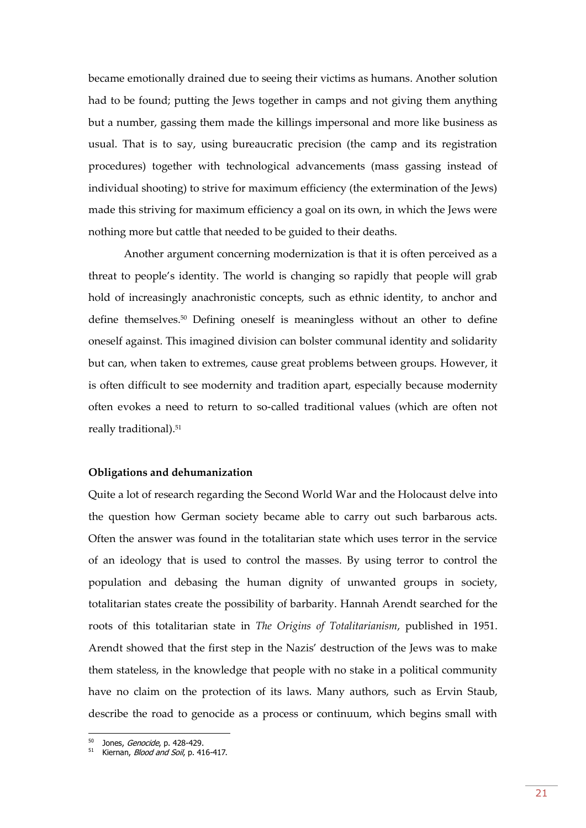became emotionally drained due to seeing their victims as humans. Another solution had to be found; putting the Jews together in camps and not giving them anything but a number, gassing them made the killings impersonal and more like business as usual. That is to say, using bureaucratic precision (the camp and its registration procedures) together with technological advancements (mass gassing instead of individual shooting) to strive for maximum efficiency (the extermination of the Jews) made this striving for maximum efficiency a goal on its own, in which the Jews were nothing more but cattle that needed to be guided to their deaths.

Another argument concerning modernization is that it is often perceived as a threat to people's identity. The world is changing so rapidly that people will grab hold of increasingly anachronistic concepts, such as ethnic identity, to anchor and define themselves.<sup>50</sup> Defining oneself is meaningless without an other to define oneself against. This imagined division can bolster communal identity and solidarity but can, when taken to extremes, cause great problems between groups. However, it is often difficult to see modernity and tradition apart, especially because modernity often evokes a need to return to so-called traditional values (which are often not really traditional).<sup>51</sup>

#### **Obligations and dehumanization**

Quite a lot of research regarding the Second World War and the Holocaust delve into the question how German society became able to carry out such barbarous acts. Often the answer was found in the totalitarian state which uses terror in the service of an ideology that is used to control the masses. By using terror to control the population and debasing the human dignity of unwanted groups in society, totalitarian states create the possibility of barbarity. Hannah Arendt searched for the roots of this totalitarian state in *The Origins of Totalitarianism*, published in 1951. Arendt showed that the first step in the Nazis' destruction of the Jews was to make them stateless, in the knowledge that people with no stake in a political community have no claim on the protection of its laws. Many authors, such as Ervin Staub, describe the road to genocide as a process or continuum, which begins small with

<sup>50</sup> Jones, *Genocide*, p. 428-429.

<sup>&</sup>lt;sup>51</sup> Kiernan, *Blood and Soil*, p. 416-417.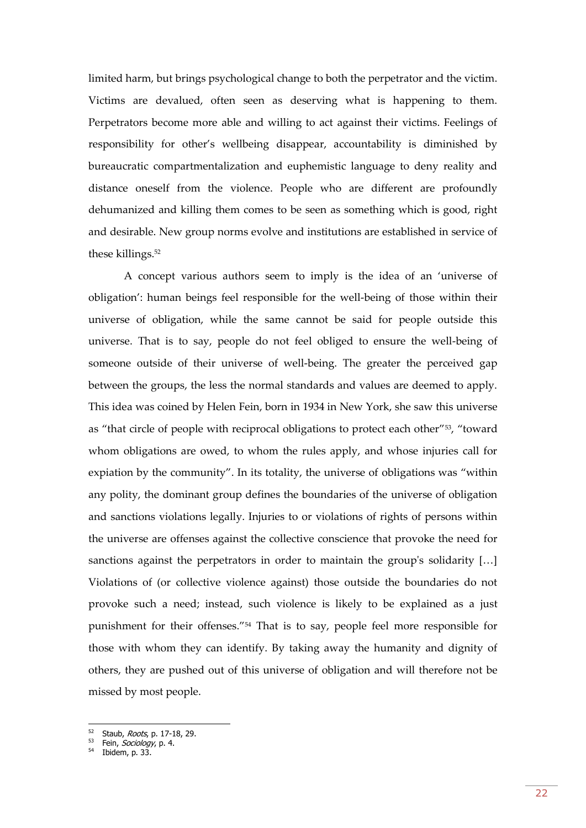limited harm, but brings psychological change to both the perpetrator and the victim. Victims are devalued, often seen as deserving what is happening to them. Perpetrators become more able and willing to act against their victims. Feelings of responsibility for other's wellbeing disappear, accountability is diminished by bureaucratic compartmentalization and euphemistic language to deny reality and distance oneself from the violence. People who are different are profoundly dehumanized and killing them comes to be seen as something which is good, right and desirable. New group norms evolve and institutions are established in service of these killings.<sup>52</sup>

A concept various authors seem to imply is the idea of an 'universe of obligation': human beings feel responsible for the well-being of those within their universe of obligation, while the same cannot be said for people outside this universe. That is to say, people do not feel obliged to ensure the well-being of someone outside of their universe of well-being. The greater the perceived gap between the groups, the less the normal standards and values are deemed to apply. This idea was coined by Helen Fein, born in 1934 in New York, she saw this universe as "that circle of people with reciprocal obligations to protect each other"53, "toward whom obligations are owed, to whom the rules apply, and whose injuries call for expiation by the community". In its totality, the universe of obligations was "within any polity, the dominant group defines the boundaries of the universe of obligation and sanctions violations legally. Injuries to or violations of rights of persons within the universe are offenses against the collective conscience that provoke the need for sanctions against the perpetrators in order to maintain the group's solidarity […] Violations of (or collective violence against) those outside the boundaries do not provoke such a need; instead, such violence is likely to be explained as a just punishment for their offenses."<sup>54</sup> That is to say, people feel more responsible for those with whom they can identify. By taking away the humanity and dignity of others, they are pushed out of this universe of obligation and will therefore not be missed by most people.

<sup>52</sup> Staub, Roots, p. 17-18, 29.

<sup>53</sup> Fein, Sociology, p. 4.

<sup>54</sup> Ibidem, p. 33.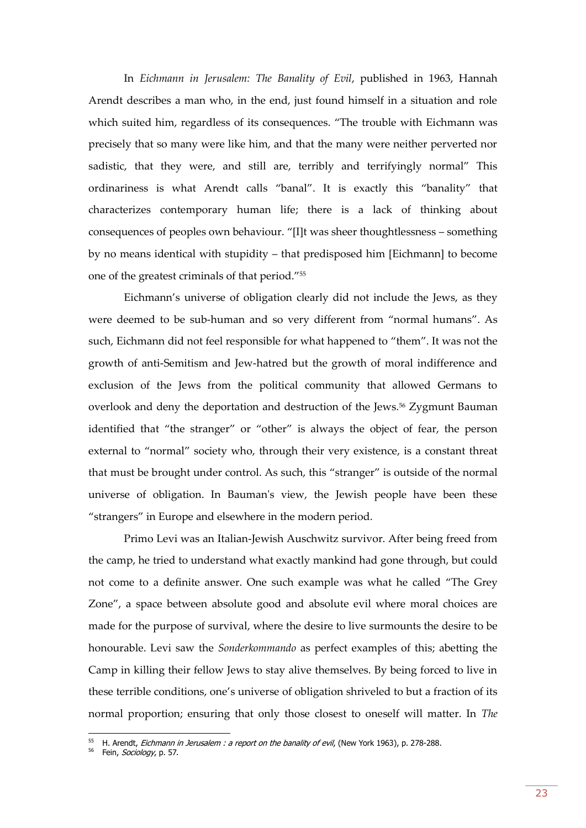In *Eichmann in Jerusalem: The Banality of Evil*, published in 1963, Hannah Arendt describes a man who, in the end, just found himself in a situation and role which suited him, regardless of its consequences. "The trouble with Eichmann was precisely that so many were like him, and that the many were neither perverted nor sadistic, that they were, and still are, terribly and terrifyingly normal" This ordinariness is what Arendt calls "banal". It is exactly this "banality" that characterizes contemporary human life; there is a lack of thinking about consequences of peoples own behaviour. "[I]t was sheer thoughtlessness – something by no means identical with stupidity – that predisposed him [Eichmann] to become one of the greatest criminals of that period."<sup>55</sup>

Eichmann's universe of obligation clearly did not include the Jews, as they were deemed to be sub-human and so very different from "normal humans". As such, Eichmann did not feel responsible for what happened to "them". It was not the growth of anti-Semitism and Jew-hatred but the growth of moral indifference and exclusion of the Jews from the political community that allowed Germans to overlook and deny the deportation and destruction of the Jews.<sup>56</sup> Zygmunt Bauman identified that "the stranger" or "other" is always the object of fear, the person external to "normal" society who, through their very existence, is a constant threat that must be brought under control. As such, this "stranger" is outside of the normal universe of obligation. In Bauman's view, the Jewish people have been these "strangers" in Europe and elsewhere in the modern period.

Primo Levi was an Italian-Jewish Auschwitz survivor. After being freed from the camp, he tried to understand what exactly mankind had gone through, but could not come to a definite answer. One such example was what he called "The Grey Zone", a space between absolute good and absolute evil where moral choices are made for the purpose of survival, where the desire to live surmounts the desire to be honourable. Levi saw the *Sonderkommando* as perfect examples of this; abetting the Camp in killing their fellow Jews to stay alive themselves. By being forced to live in these terrible conditions, one's universe of obligation shriveled to but a fraction of its normal proportion; ensuring that only those closest to oneself will matter. In *The* 

 $55$  H. Arendt, *Eichmann in Jerusalem : a report on the banality of evil*, (New York 1963), p. 278-288.

<sup>&</sup>lt;sup>56</sup> Fein, Sociology, p. 57.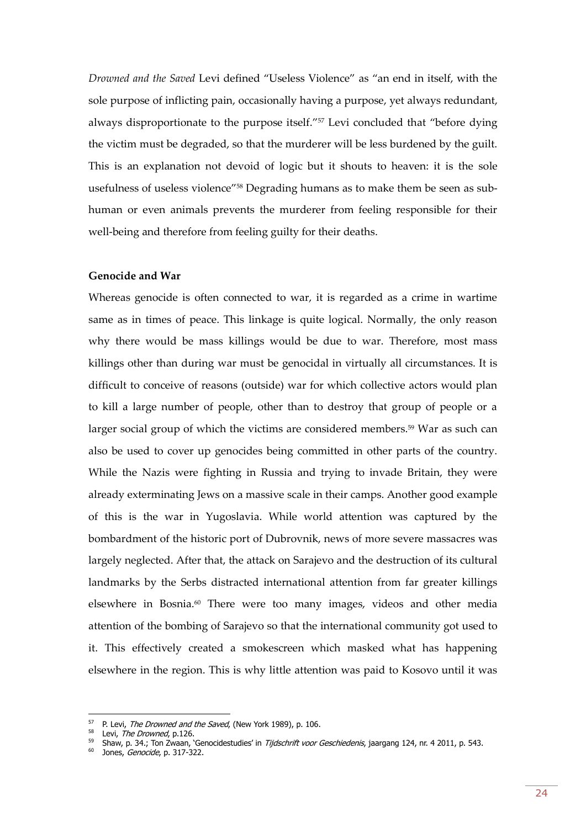*Drowned and the Saved* Levi defined "Useless Violence" as "an end in itself, with the sole purpose of inflicting pain, occasionally having a purpose, yet always redundant, always disproportionate to the purpose itself."<sup>57</sup> Levi concluded that "before dying the victim must be degraded, so that the murderer will be less burdened by the guilt. This is an explanation not devoid of logic but it shouts to heaven: it is the sole usefulness of useless violence"<sup>58</sup> Degrading humans as to make them be seen as subhuman or even animals prevents the murderer from feeling responsible for their well-being and therefore from feeling guilty for their deaths.

#### **Genocide and War**

Whereas genocide is often connected to war, it is regarded as a crime in wartime same as in times of peace. This linkage is quite logical. Normally, the only reason why there would be mass killings would be due to war. Therefore, most mass killings other than during war must be genocidal in virtually all circumstances. It is difficult to conceive of reasons (outside) war for which collective actors would plan to kill a large number of people, other than to destroy that group of people or a larger social group of which the victims are considered members.<sup>59</sup> War as such can also be used to cover up genocides being committed in other parts of the country. While the Nazis were fighting in Russia and trying to invade Britain, they were already exterminating Jews on a massive scale in their camps. Another good example of this is the war in Yugoslavia. While world attention was captured by the bombardment of the historic port of Dubrovnik, news of more severe massacres was largely neglected. After that, the attack on Sarajevo and the destruction of its cultural landmarks by the Serbs distracted international attention from far greater killings elsewhere in Bosnia.<sup>60</sup> There were too many images, videos and other media attention of the bombing of Sarajevo so that the international community got used to it. This effectively created a smokescreen which masked what has happening elsewhere in the region. This is why little attention was paid to Kosovo until it was

<sup>&</sup>lt;sup>57</sup> P. Levi, *The Drowned and the Saved*, (New York 1989), p. 106.

 $58$  Levi, The Drowned, p.126.

<sup>59</sup> Shaw, p. 34.; Ton Zwaan, 'Genocidestudies' in Tijdschrift voor Geschiedenis, jaargang 124, nr. 4 2011, p. 543.

 $60$  Jones, *Genocide*, p. 317-322.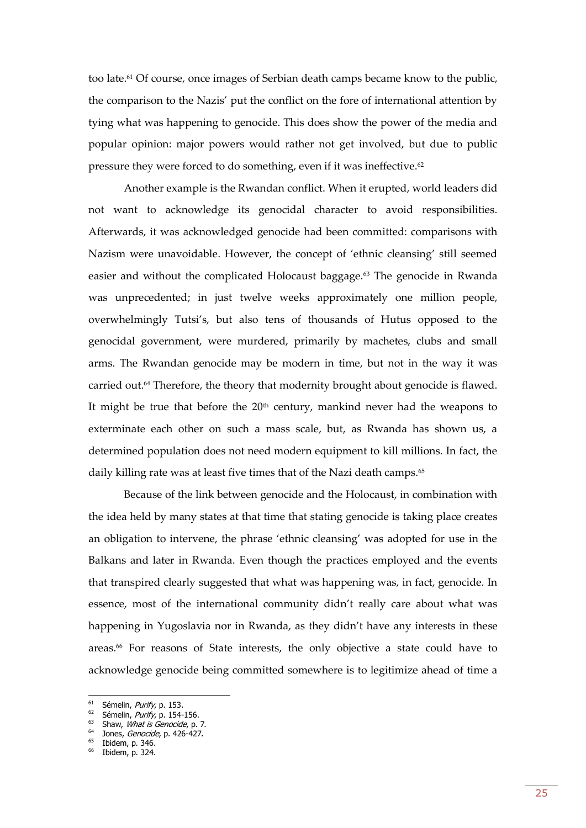too late.<sup>61</sup> Of course, once images of Serbian death camps became know to the public, the comparison to the Nazis' put the conflict on the fore of international attention by tying what was happening to genocide. This does show the power of the media and popular opinion: major powers would rather not get involved, but due to public pressure they were forced to do something, even if it was ineffective.<sup>62</sup>

Another example is the Rwandan conflict. When it erupted, world leaders did not want to acknowledge its genocidal character to avoid responsibilities. Afterwards, it was acknowledged genocide had been committed: comparisons with Nazism were unavoidable. However, the concept of 'ethnic cleansing' still seemed easier and without the complicated Holocaust baggage.<sup>63</sup> The genocide in Rwanda was unprecedented; in just twelve weeks approximately one million people, overwhelmingly Tutsi's, but also tens of thousands of Hutus opposed to the genocidal government, were murdered, primarily by machetes, clubs and small arms. The Rwandan genocide may be modern in time, but not in the way it was carried out.<sup>64</sup> Therefore, the theory that modernity brought about genocide is flawed. It might be true that before the  $20<sup>th</sup>$  century, mankind never had the weapons to exterminate each other on such a mass scale, but, as Rwanda has shown us, a determined population does not need modern equipment to kill millions. In fact, the daily killing rate was at least five times that of the Nazi death camps.<sup>65</sup>

Because of the link between genocide and the Holocaust, in combination with the idea held by many states at that time that stating genocide is taking place creates an obligation to intervene, the phrase 'ethnic cleansing' was adopted for use in the Balkans and later in Rwanda. Even though the practices employed and the events that transpired clearly suggested that what was happening was, in fact, genocide. In essence, most of the international community didn't really care about what was happening in Yugoslavia nor in Rwanda, as they didn't have any interests in these areas. <sup>66</sup> For reasons of State interests, the only objective a state could have to acknowledge genocide being committed somewhere is to legitimize ahead of time a

<sup>&</sup>lt;sup>61</sup> Sémelin, Purify, p. 153.

 $62$  Sémelin, *Purify*, p. 154-156.

 $63$  Shaw, *What is Genocide*, p. 7.

 $64$  Jones, *Genocide*, p. 426-427.

 $65$  Ibidem, p. 346.

Ibidem, p. 324.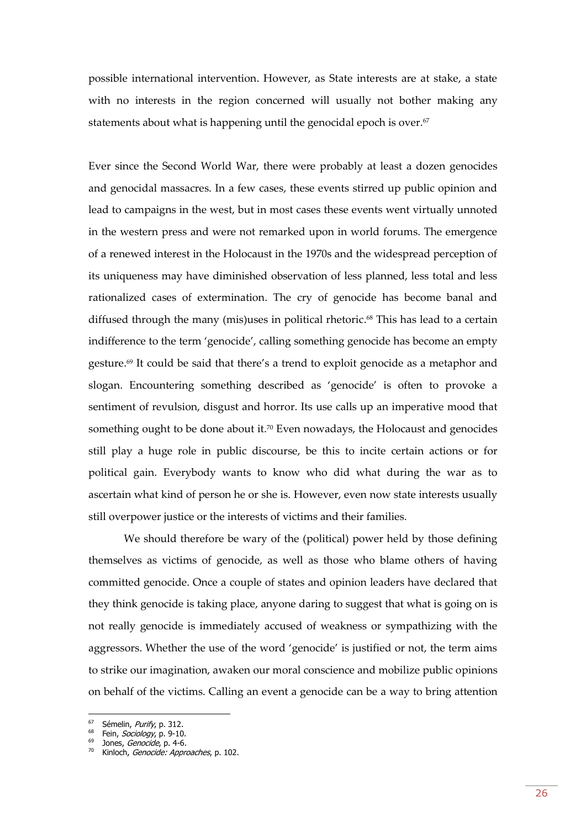possible international intervention. However, as State interests are at stake, a state with no interests in the region concerned will usually not bother making any statements about what is happening until the genocidal epoch is over.<sup>67</sup>

Ever since the Second World War, there were probably at least a dozen genocides and genocidal massacres. In a few cases, these events stirred up public opinion and lead to campaigns in the west, but in most cases these events went virtually unnoted in the western press and were not remarked upon in world forums. The emergence of a renewed interest in the Holocaust in the 1970s and the widespread perception of its uniqueness may have diminished observation of less planned, less total and less rationalized cases of extermination. The cry of genocide has become banal and diffused through the many (mis)uses in political rhetoric. <sup>68</sup> This has lead to a certain indifference to the term 'genocide', calling something genocide has become an empty gesture. <sup>69</sup> It could be said that there's a trend to exploit genocide as a metaphor and slogan. Encountering something described as 'genocide' is often to provoke a sentiment of revulsion, disgust and horror. Its use calls up an imperative mood that something ought to be done about it.<sup>70</sup> Even nowadays, the Holocaust and genocides still play a huge role in public discourse, be this to incite certain actions or for political gain. Everybody wants to know who did what during the war as to ascertain what kind of person he or she is. However, even now state interests usually still overpower justice or the interests of victims and their families.

We should therefore be wary of the (political) power held by those defining themselves as victims of genocide, as well as those who blame others of having committed genocide. Once a couple of states and opinion leaders have declared that they think genocide is taking place, anyone daring to suggest that what is going on is not really genocide is immediately accused of weakness or sympathizing with the aggressors. Whether the use of the word 'genocide' is justified or not, the term aims to strike our imagination, awaken our moral conscience and mobilize public opinions on behalf of the victims. Calling an event a genocide can be a way to bring attention

<sup>&</sup>lt;sup>67</sup> Sémelin, Purify, p. 312.

<sup>68</sup> Fein, *Sociology*, p. 9-10.

<sup>&</sup>lt;sup>69</sup> Jones, Genocide, p. 4-6.

<sup>&</sup>lt;sup>70</sup> Kinloch, Genocide: Approaches, p. 102.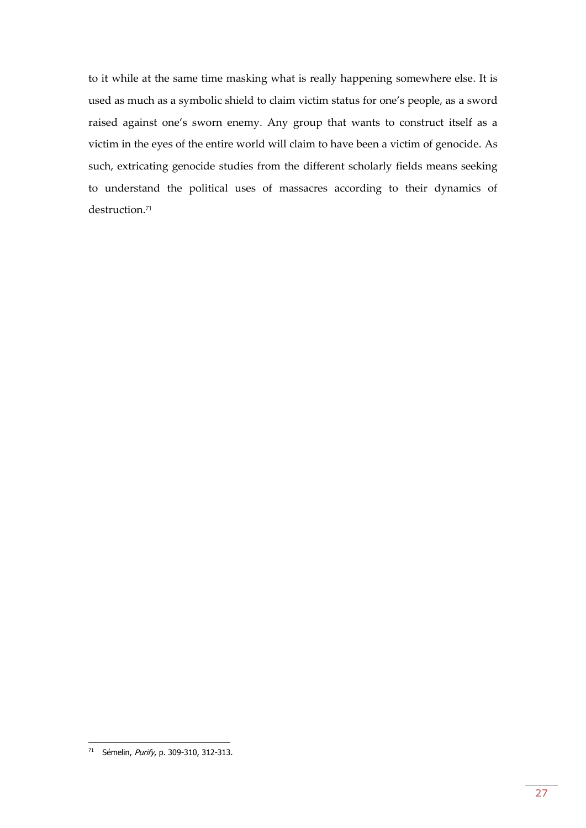to it while at the same time masking what is really happening somewhere else. It is used as much as a symbolic shield to claim victim status for one's people, as a sword raised against one's sworn enemy. Any group that wants to construct itself as a victim in the eyes of the entire world will claim to have been a victim of genocide. As such, extricating genocide studies from the different scholarly fields means seeking to understand the political uses of massacres according to their dynamics of destruction.<sup>71</sup>

<sup>&</sup>lt;sup>71</sup> Sémelin, *Purify*, p. 309-310, 312-313.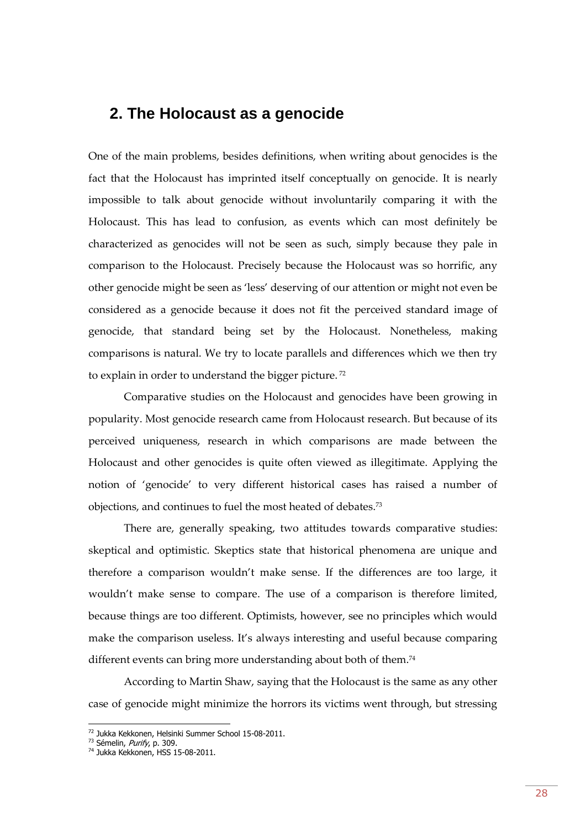## <span id="page-27-0"></span>**2. The Holocaust as a genocide**

One of the main problems, besides definitions, when writing about genocides is the fact that the Holocaust has imprinted itself conceptually on genocide. It is nearly impossible to talk about genocide without involuntarily comparing it with the Holocaust. This has lead to confusion, as events which can most definitely be characterized as genocides will not be seen as such, simply because they pale in comparison to the Holocaust. Precisely because the Holocaust was so horrific, any other genocide might be seen as 'less' deserving of our attention or might not even be considered as a genocide because it does not fit the perceived standard image of genocide, that standard being set by the Holocaust. Nonetheless, making comparisons is natural. We try to locate parallels and differences which we then try to explain in order to understand the bigger picture.<sup>72</sup>

Comparative studies on the Holocaust and genocides have been growing in popularity. Most genocide research came from Holocaust research. But because of its perceived uniqueness, research in which comparisons are made between the Holocaust and other genocides is quite often viewed as illegitimate. Applying the notion of 'genocide' to very different historical cases has raised a number of objections, and continues to fuel the most heated of debates.<sup>73</sup>

There are, generally speaking, two attitudes towards comparative studies: skeptical and optimistic. Skeptics state that historical phenomena are unique and therefore a comparison wouldn't make sense. If the differences are too large, it wouldn't make sense to compare. The use of a comparison is therefore limited, because things are too different. Optimists, however, see no principles which would make the comparison useless. It's always interesting and useful because comparing different events can bring more understanding about both of them.<sup>74</sup>

According to Martin Shaw, saying that the Holocaust is the same as any other case of genocide might minimize the horrors its victims went through, but stressing

<sup>72</sup> Jukka Kekkonen, Helsinki Summer School 15-08-2011.

<sup>&</sup>lt;sup>73</sup> Sémelin, Purify, p. 309.

<sup>&</sup>lt;sup>74</sup> Jukka Kekkonen, HSS 15-08-2011.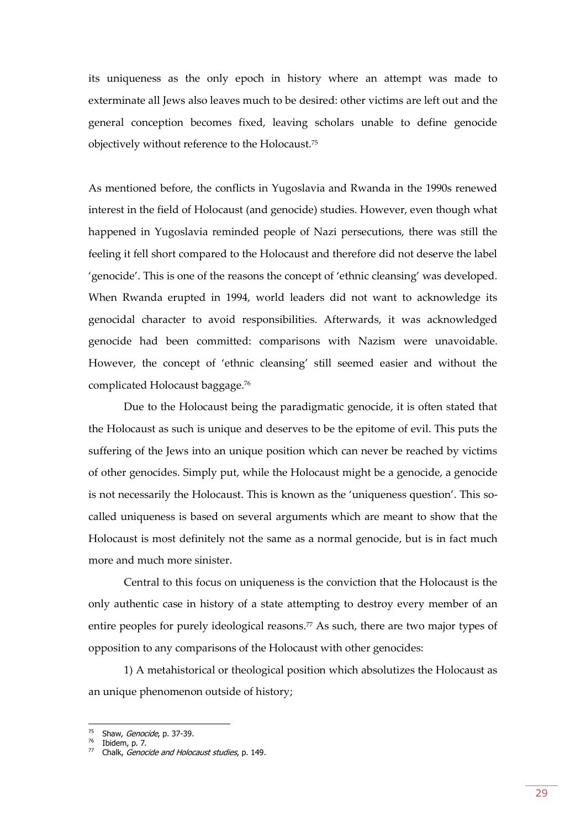its uniqueness as the only epoch in history where an attempt was made to exterminate all Jews also leaves much to be desired: other victims are left out and the general conception becomes fixed, leaving scholars unable to define genocide objectively without reference to the Holocaust.<sup>75</sup>

As mentioned before, the conflicts in Yugoslavia and Rwanda in the 1990s renewed interest in the field of Holocaust (and genocide) studies. However, even though what happened in Yugoslavia reminded people of Nazi persecutions, there was still the feeling it fell short compared to the Holocaust and therefore did not deserve the label 'genocide'. This is one of the reasons the concept of 'ethnic cleansing' was developed. When Rwanda erupted in 1994, world leaders did not want to acknowledge its genocidal character to avoid responsibilities. Afterwards, it was acknowledged genocide had been committed: comparisons with Nazism were unavoidable. However, the concept of 'ethnic cleansing' still seemed easier and without the complicated Holocaust baggage.<sup>76</sup>

Due to the Holocaust being the paradigmatic genocide, it is often stated that the Holocaust as such is unique and deserves to be the epitome of evil. This puts the suffering of the Jews into an unique position which can never be reached by victims of other genocides. Simply put, while the Holocaust might be a genocide, a genocide is not necessarily the Holocaust. This is known as the 'uniqueness question'. This socalled uniqueness is based on several arguments which are meant to show that the Holocaust is most definitely not the same as a normal genocide, but is in fact much more and much more sinister.

Central to this focus on uniqueness is the conviction that the Holocaust is the only authentic case in history of a state attempting to destroy every member of an entire peoples for purely ideological reasons.<sup>77</sup> As such, there are two major types of opposition to any comparisons of the Holocaust with other genocides:

1) A metahistorical or theological position which absolutizes the Holocaust as an unique phenomenon outside of history;

<sup>&</sup>lt;sup>75</sup> Shaw, *Genocide*, p. 37-39.

<sup>76</sup> Ibidem, p. 7.

 $77$  Chalk, *Genocide and Holocaust studies*, p. 149.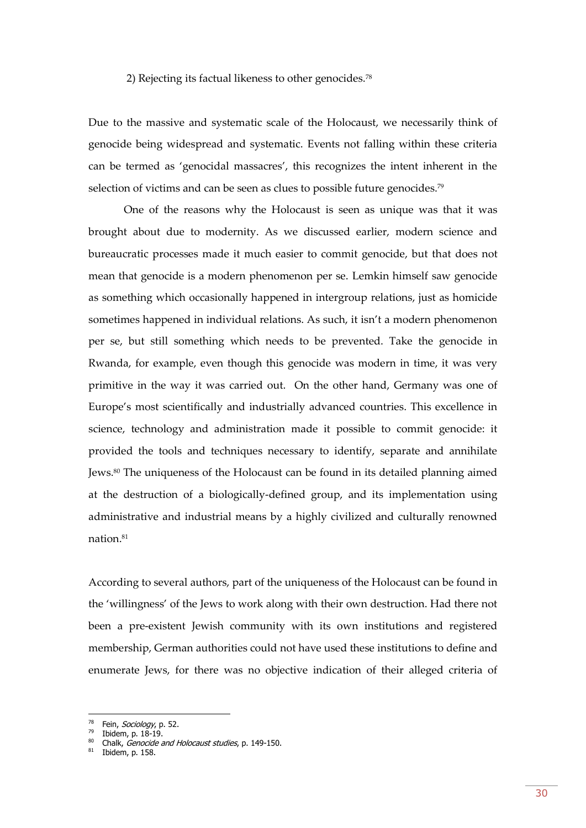#### 2) Rejecting its factual likeness to other genocides.<sup>78</sup>

Due to the massive and systematic scale of the Holocaust, we necessarily think of genocide being widespread and systematic. Events not falling within these criteria can be termed as 'genocidal massacres', this recognizes the intent inherent in the selection of victims and can be seen as clues to possible future genocides.<sup>79</sup>

One of the reasons why the Holocaust is seen as unique was that it was brought about due to modernity. As we discussed earlier, modern science and bureaucratic processes made it much easier to commit genocide, but that does not mean that genocide is a modern phenomenon per se. Lemkin himself saw genocide as something which occasionally happened in intergroup relations, just as homicide sometimes happened in individual relations. As such, it isn't a modern phenomenon per se, but still something which needs to be prevented. Take the genocide in Rwanda, for example, even though this genocide was modern in time, it was very primitive in the way it was carried out. On the other hand, Germany was one of Europe's most scientifically and industrially advanced countries. This excellence in science, technology and administration made it possible to commit genocide: it provided the tools and techniques necessary to identify, separate and annihilate Jews.<sup>80</sup> The uniqueness of the Holocaust can be found in its detailed planning aimed at the destruction of a biologically-defined group, and its implementation using administrative and industrial means by a highly civilized and culturally renowned nation.<sup>81</sup>

According to several authors, part of the uniqueness of the Holocaust can be found in the 'willingness' of the Jews to work along with their own destruction. Had there not been a pre-existent Jewish community with its own institutions and registered membership, German authorities could not have used these institutions to define and enumerate Jews, for there was no objective indication of their alleged criteria of

<sup>&</sup>lt;sup>78</sup> Fein, Sociology, p. 52.

 $79$  Ibidem, p.  $18-19$ .

 $80$  Chalk, Genocide and Holocaust studies, p. 149-150.

 $81$  Ibidem, p. 158.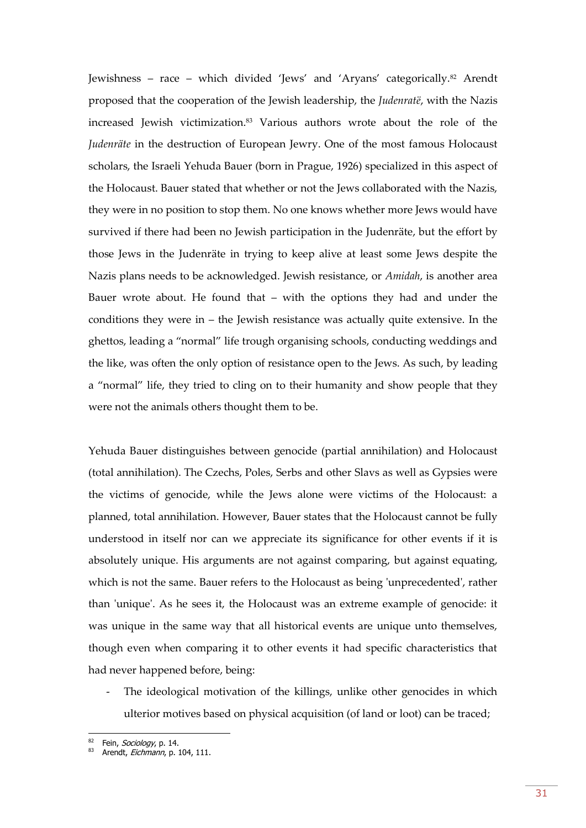Jewishness – race – which divided 'Jews' and 'Aryans' categorically.<sup>82</sup> Arendt proposed that the cooperation of the Jewish leadership, the *Judenratë*, with the Nazis increased Jewish victimization.<sup>83</sup> Various authors wrote about the role of the *Judenräte* in the destruction of European Jewry. One of the most famous Holocaust scholars, the Israeli Yehuda Bauer (born in Prague, 1926) specialized in this aspect of the Holocaust. Bauer stated that whether or not the Jews collaborated with the Nazis, they were in no position to stop them. No one knows whether more Jews would have survived if there had been no Jewish participation in the Judenräte, but the effort by those Jews in the Judenräte in trying to keep alive at least some Jews despite the Nazis plans needs to be acknowledged. Jewish resistance, or *Amidah*, is another area Bauer wrote about. He found that – with the options they had and under the conditions they were in – the Jewish resistance was actually quite extensive. In the ghettos, leading a "normal" life trough organising schools, conducting weddings and the like, was often the only option of resistance open to the Jews. As such, by leading a "normal" life, they tried to cling on to their humanity and show people that they were not the animals others thought them to be.

Yehuda Bauer distinguishes between genocide (partial annihilation) and Holocaust (total annihilation). The Czechs, Poles, Serbs and other Slavs as well as Gypsies were the victims of genocide, while the Jews alone were victims of the Holocaust: a planned, total annihilation. However, Bauer states that the Holocaust cannot be fully understood in itself nor can we appreciate its significance for other events if it is absolutely unique. His arguments are not against comparing, but against equating, which is not the same. Bauer refers to the Holocaust as being 'unprecedented', rather than 'unique'. As he sees it, the Holocaust was an extreme example of genocide: it was unique in the same way that all historical events are unique unto themselves, though even when comparing it to other events it had specific characteristics that had never happened before, being:

- The ideological motivation of the killings, unlike other genocides in which ulterior motives based on physical acquisition (of land or loot) can be traced;

 $\frac{82}{10}$  Fein, *Sociology*, p. 14.

Arendt, Eichmann, p. 104, 111.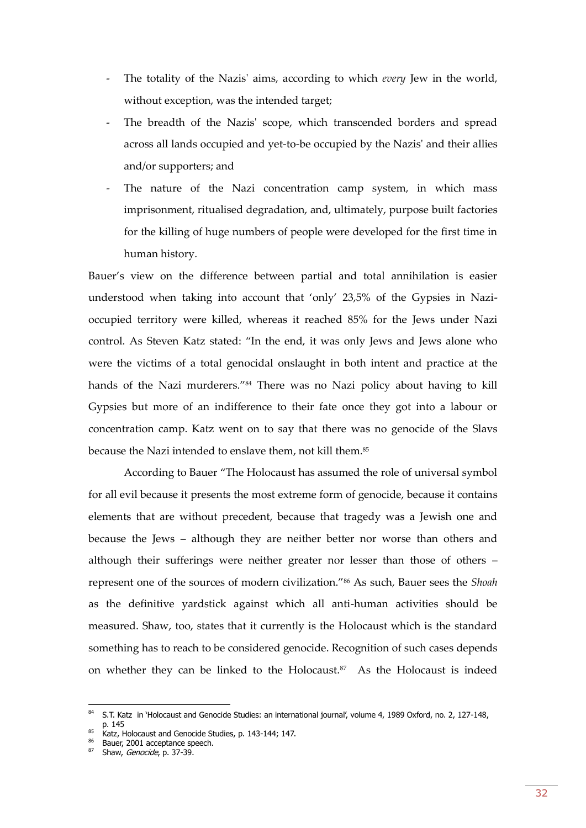- The totality of the Nazis' aims, according to which *every* Jew in the world, without exception, was the intended target;
- The breadth of the Nazis' scope, which transcended borders and spread across all lands occupied and yet-to-be occupied by the Nazis' and their allies and/or supporters; and
- The nature of the Nazi concentration camp system, in which mass imprisonment, ritualised degradation, and, ultimately, purpose built factories for the killing of huge numbers of people were developed for the first time in human history.

Bauer's view on the difference between partial and total annihilation is easier understood when taking into account that 'only' 23,5% of the Gypsies in Nazioccupied territory were killed, whereas it reached 85% for the Jews under Nazi control. As Steven Katz stated: "In the end, it was only Jews and Jews alone who were the victims of a total genocidal onslaught in both intent and practice at the hands of the Nazi murderers."<sup>84</sup> There was no Nazi policy about having to kill Gypsies but more of an indifference to their fate once they got into a labour or concentration camp. Katz went on to say that there was no genocide of the Slavs because the Nazi intended to enslave them, not kill them. 85

According to Bauer "The Holocaust has assumed the role of universal symbol for all evil because it presents the most extreme form of genocide, because it contains elements that are without precedent, because that tragedy was a Jewish one and because the Jews – although they are neither better nor worse than others and although their sufferings were neither greater nor lesser than those of others – represent one of the sources of modern civilization."<sup>86</sup> As such, Bauer sees the *Shoah* as the definitive yardstick against which all anti-human activities should be measured. Shaw, too, states that it currently is the Holocaust which is the standard something has to reach to be considered genocide. Recognition of such cases depends on whether they can be linked to the Holocaust.<sup>87</sup> As the Holocaust is indeed

<sup>84</sup> S.T. Katz in 'Holocaust and Genocide Studies: an international journal', volume 4, 1989 Oxford, no. 2, 127-148, p. 145

<sup>85</sup> Katz, Holocaust and Genocide Studies, p. 143-144; 147.

<sup>86</sup> Bauer, 2001 acceptance speech.

<sup>87</sup> Shaw, Genocide, p. 37-39.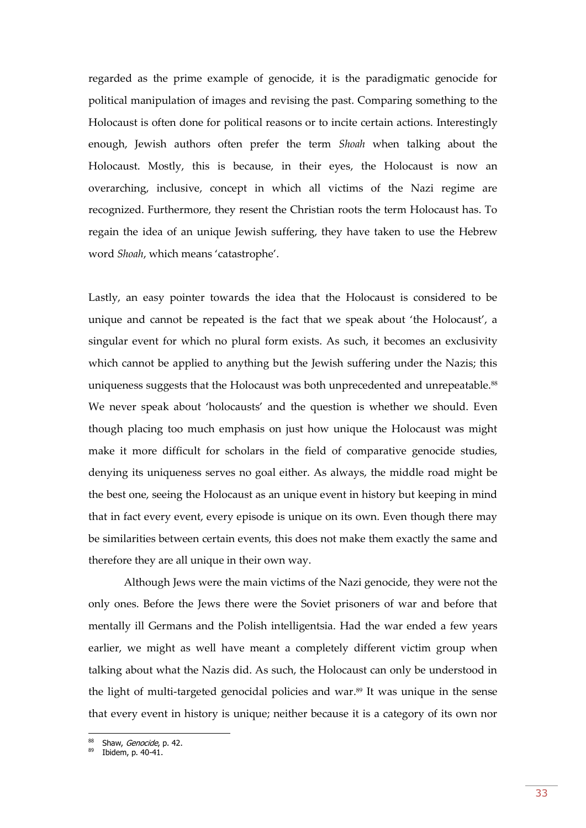regarded as the prime example of genocide, it is the paradigmatic genocide for political manipulation of images and revising the past. Comparing something to the Holocaust is often done for political reasons or to incite certain actions. Interestingly enough, Jewish authors often prefer the term *Shoah* when talking about the Holocaust. Mostly, this is because, in their eyes, the Holocaust is now an overarching, inclusive, concept in which all victims of the Nazi regime are recognized. Furthermore, they resent the Christian roots the term Holocaust has. To regain the idea of an unique Jewish suffering, they have taken to use the Hebrew word *Shoah*, which means 'catastrophe'.

Lastly, an easy pointer towards the idea that the Holocaust is considered to be unique and cannot be repeated is the fact that we speak about 'the Holocaust', a singular event for which no plural form exists. As such, it becomes an exclusivity which cannot be applied to anything but the Jewish suffering under the Nazis; this uniqueness suggests that the Holocaust was both unprecedented and unrepeatable.<sup>88</sup> We never speak about 'holocausts' and the question is whether we should. Even though placing too much emphasis on just how unique the Holocaust was might make it more difficult for scholars in the field of comparative genocide studies, denying its uniqueness serves no goal either. As always, the middle road might be the best one, seeing the Holocaust as an unique event in history but keeping in mind that in fact every event, every episode is unique on its own. Even though there may be similarities between certain events, this does not make them exactly the same and therefore they are all unique in their own way.

Although Jews were the main victims of the Nazi genocide, they were not the only ones. Before the Jews there were the Soviet prisoners of war and before that mentally ill Germans and the Polish intelligentsia. Had the war ended a few years earlier, we might as well have meant a completely different victim group when talking about what the Nazis did. As such, the Holocaust can only be understood in the light of multi-targeted genocidal policies and war. <sup>89</sup> It was unique in the sense that every event in history is unique; neither because it is a category of its own nor

<sup>88</sup> Shaw, Genocide, p. 42.

Ibidem, p. 40-41.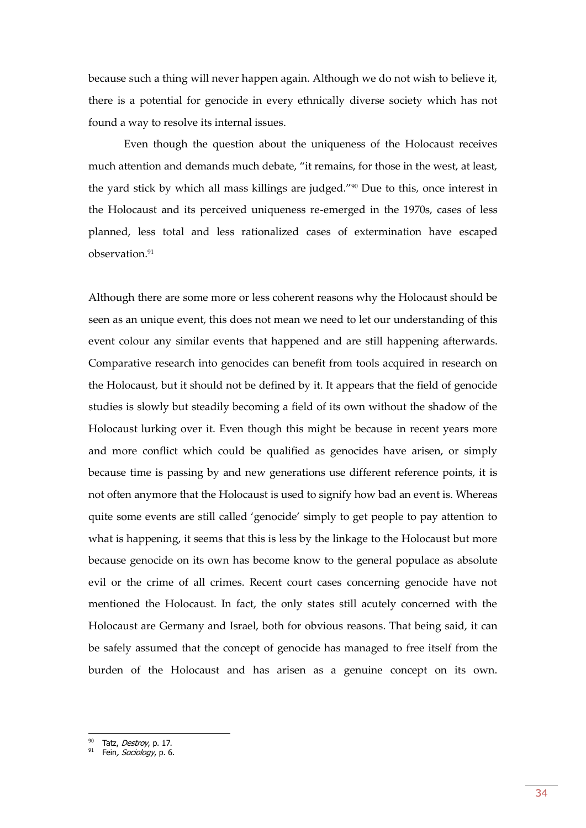because such a thing will never happen again. Although we do not wish to believe it, there is a potential for genocide in every ethnically diverse society which has not found a way to resolve its internal issues.

Even though the question about the uniqueness of the Holocaust receives much attention and demands much debate, "it remains, for those in the west, at least, the yard stick by which all mass killings are judged."<sup>90</sup> Due to this, once interest in the Holocaust and its perceived uniqueness re-emerged in the 1970s, cases of less planned, less total and less rationalized cases of extermination have escaped observation.<sup>91</sup>

Although there are some more or less coherent reasons why the Holocaust should be seen as an unique event, this does not mean we need to let our understanding of this event colour any similar events that happened and are still happening afterwards. Comparative research into genocides can benefit from tools acquired in research on the Holocaust, but it should not be defined by it. It appears that the field of genocide studies is slowly but steadily becoming a field of its own without the shadow of the Holocaust lurking over it. Even though this might be because in recent years more and more conflict which could be qualified as genocides have arisen, or simply because time is passing by and new generations use different reference points, it is not often anymore that the Holocaust is used to signify how bad an event is. Whereas quite some events are still called 'genocide' simply to get people to pay attention to what is happening, it seems that this is less by the linkage to the Holocaust but more because genocide on its own has become know to the general populace as absolute evil or the crime of all crimes. Recent court cases concerning genocide have not mentioned the Holocaust. In fact, the only states still acutely concerned with the Holocaust are Germany and Israel, both for obvious reasons. That being said, it can be safely assumed that the concept of genocide has managed to free itself from the burden of the Holocaust and has arisen as a genuine concept on its own.

<sup>90</sup> Tatz, Destroy, p. 17.

<sup>&</sup>lt;sup>91</sup> Fein, Sociology, p. 6.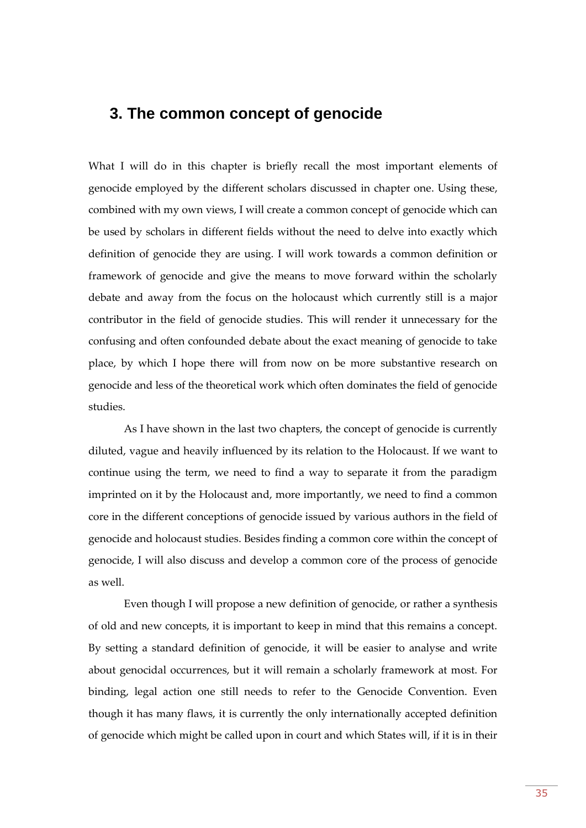## <span id="page-34-0"></span>**3. The common concept of genocide**

What I will do in this chapter is briefly recall the most important elements of genocide employed by the different scholars discussed in chapter one. Using these, combined with my own views, I will create a common concept of genocide which can be used by scholars in different fields without the need to delve into exactly which definition of genocide they are using. I will work towards a common definition or framework of genocide and give the means to move forward within the scholarly debate and away from the focus on the holocaust which currently still is a major contributor in the field of genocide studies. This will render it unnecessary for the confusing and often confounded debate about the exact meaning of genocide to take place, by which I hope there will from now on be more substantive research on genocide and less of the theoretical work which often dominates the field of genocide studies.

As I have shown in the last two chapters, the concept of genocide is currently diluted, vague and heavily influenced by its relation to the Holocaust. If we want to continue using the term, we need to find a way to separate it from the paradigm imprinted on it by the Holocaust and, more importantly, we need to find a common core in the different conceptions of genocide issued by various authors in the field of genocide and holocaust studies. Besides finding a common core within the concept of genocide, I will also discuss and develop a common core of the process of genocide as well.

Even though I will propose a new definition of genocide, or rather a synthesis of old and new concepts, it is important to keep in mind that this remains a concept. By setting a standard definition of genocide, it will be easier to analyse and write about genocidal occurrences, but it will remain a scholarly framework at most. For binding, legal action one still needs to refer to the Genocide Convention. Even though it has many flaws, it is currently the only internationally accepted definition of genocide which might be called upon in court and which States will, if it is in their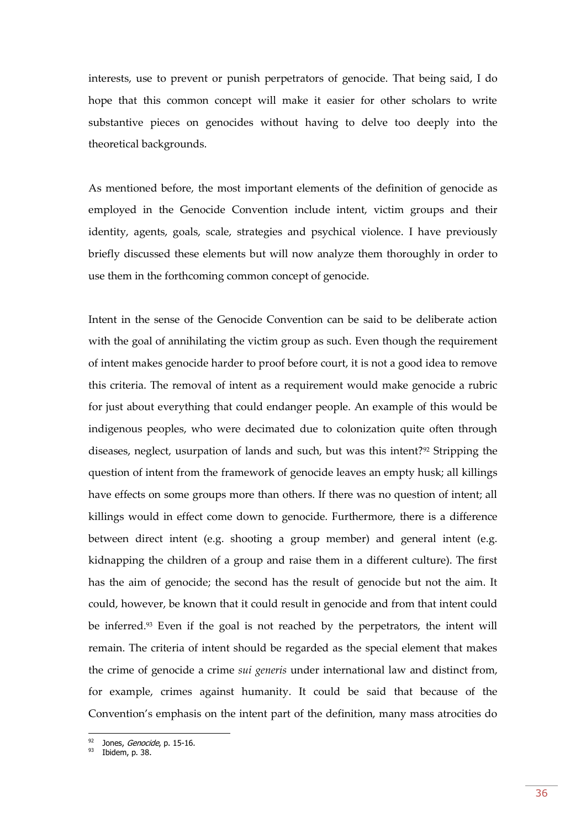interests, use to prevent or punish perpetrators of genocide. That being said, I do hope that this common concept will make it easier for other scholars to write substantive pieces on genocides without having to delve too deeply into the theoretical backgrounds.

As mentioned before, the most important elements of the definition of genocide as employed in the Genocide Convention include intent, victim groups and their identity, agents, goals, scale, strategies and psychical violence. I have previously briefly discussed these elements but will now analyze them thoroughly in order to use them in the forthcoming common concept of genocide.

Intent in the sense of the Genocide Convention can be said to be deliberate action with the goal of annihilating the victim group as such. Even though the requirement of intent makes genocide harder to proof before court, it is not a good idea to remove this criteria. The removal of intent as a requirement would make genocide a rubric for just about everything that could endanger people. An example of this would be indigenous peoples, who were decimated due to colonization quite often through diseases, neglect, usurpation of lands and such, but was this intent?<sup>92</sup> Stripping the question of intent from the framework of genocide leaves an empty husk; all killings have effects on some groups more than others. If there was no question of intent; all killings would in effect come down to genocide. Furthermore, there is a difference between direct intent (e.g. shooting a group member) and general intent (e.g. kidnapping the children of a group and raise them in a different culture). The first has the aim of genocide; the second has the result of genocide but not the aim. It could, however, be known that it could result in genocide and from that intent could be inferred.<sup>93</sup> Even if the goal is not reached by the perpetrators, the intent will remain. The criteria of intent should be regarded as the special element that makes the crime of genocide a crime *sui generis* under international law and distinct from, for example, crimes against humanity. It could be said that because of the Convention's emphasis on the intent part of the definition, many mass atrocities do

<sup>&</sup>lt;sup>92</sup> Jones, *Genocide*, p. 15-16.

 $93$  Ibidem, p. 38.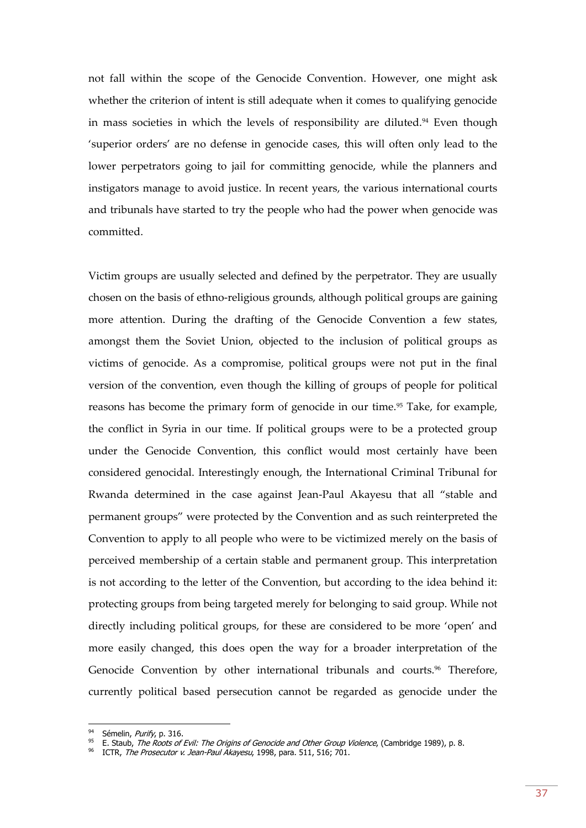not fall within the scope of the Genocide Convention. However, one might ask whether the criterion of intent is still adequate when it comes to qualifying genocide in mass societies in which the levels of responsibility are diluted.<sup>94</sup> Even though 'superior orders' are no defense in genocide cases, this will often only lead to the lower perpetrators going to jail for committing genocide, while the planners and instigators manage to avoid justice. In recent years, the various international courts and tribunals have started to try the people who had the power when genocide was committed.

Victim groups are usually selected and defined by the perpetrator. They are usually chosen on the basis of ethno-religious grounds, although political groups are gaining more attention. During the drafting of the Genocide Convention a few states, amongst them the Soviet Union, objected to the inclusion of political groups as victims of genocide. As a compromise, political groups were not put in the final version of the convention, even though the killing of groups of people for political reasons has become the primary form of genocide in our time.<sup>95</sup> Take, for example, the conflict in Syria in our time. If political groups were to be a protected group under the Genocide Convention, this conflict would most certainly have been considered genocidal. Interestingly enough, the International Criminal Tribunal for Rwanda determined in the case against Jean-Paul Akayesu that all "stable and permanent groups" were protected by the Convention and as such reinterpreted the Convention to apply to all people who were to be victimized merely on the basis of perceived membership of a certain stable and permanent group. This interpretation is not according to the letter of the Convention, but according to the idea behind it: protecting groups from being targeted merely for belonging to said group. While not directly including political groups, for these are considered to be more 'open' and more easily changed, this does open the way for a broader interpretation of the Genocide Convention by other international tribunals and courts.<sup>96</sup> Therefore, currently political based persecution cannot be regarded as genocide under the

<sup>&</sup>lt;sup>94</sup> Sémelin, Purify, p. 316.

<sup>95</sup> E. Staub, The Roots of Evil: The Origins of Genocide and Other Group Violence, (Cambridge 1989), p. 8.

ICTR, The Prosecutor v. Jean-Paul Akayesu, 1998, para. 511, 516; 701.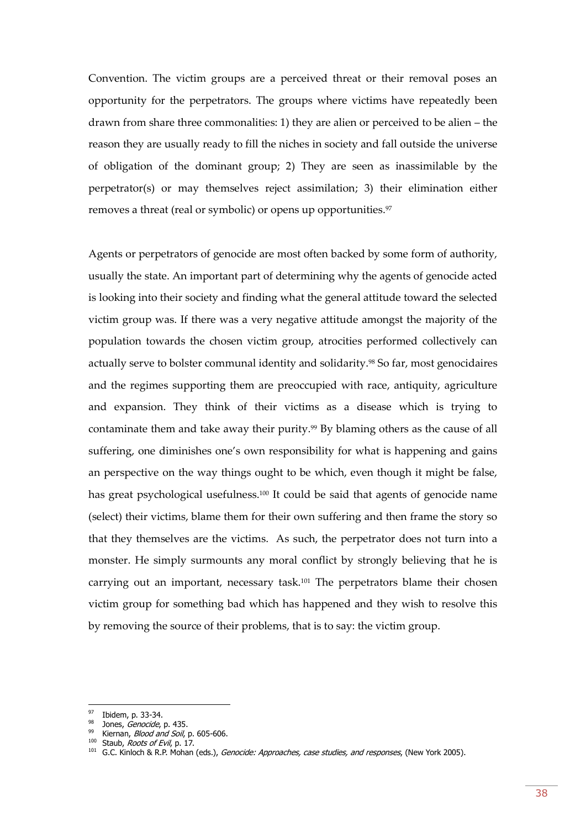Convention. The victim groups are a perceived threat or their removal poses an opportunity for the perpetrators. The groups where victims have repeatedly been drawn from share three commonalities: 1) they are alien or perceived to be alien – the reason they are usually ready to fill the niches in society and fall outside the universe of obligation of the dominant group; 2) They are seen as inassimilable by the perpetrator(s) or may themselves reject assimilation; 3) their elimination either removes a threat (real or symbolic) or opens up opportunities.<sup>97</sup>

Agents or perpetrators of genocide are most often backed by some form of authority, usually the state. An important part of determining why the agents of genocide acted is looking into their society and finding what the general attitude toward the selected victim group was. If there was a very negative attitude amongst the majority of the population towards the chosen victim group, atrocities performed collectively can actually serve to bolster communal identity and solidarity.<sup>98</sup> So far, most genocidaires and the regimes supporting them are preoccupied with race, antiquity, agriculture and expansion. They think of their victims as a disease which is trying to contaminate them and take away their purity.<sup>99</sup> By blaming others as the cause of all suffering, one diminishes one's own responsibility for what is happening and gains an perspective on the way things ought to be which, even though it might be false, has great psychological usefulness.<sup>100</sup> It could be said that agents of genocide name (select) their victims, blame them for their own suffering and then frame the story so that they themselves are the victims. As such, the perpetrator does not turn into a monster. He simply surmounts any moral conflict by strongly believing that he is carrying out an important, necessary task.<sup>101</sup> The perpetrators blame their chosen victim group for something bad which has happened and they wish to resolve this by removing the source of their problems, that is to say: the victim group.

<sup>&</sup>lt;sup>97</sup> Ibidem, p. 33-34.

<sup>&</sup>lt;sup>98</sup> Jones, *Genocide*, p. 435.

<sup>99</sup> Kiernan, *Blood and Soil*, p. 605-606.

<sup>100</sup> Staub, Roots of Evil, p. 17.

<sup>&</sup>lt;sup>101</sup> G.C. Kinloch & R.P. Mohan (eds.), *Genocide: Approaches, case studies, and responses*, (New York 2005).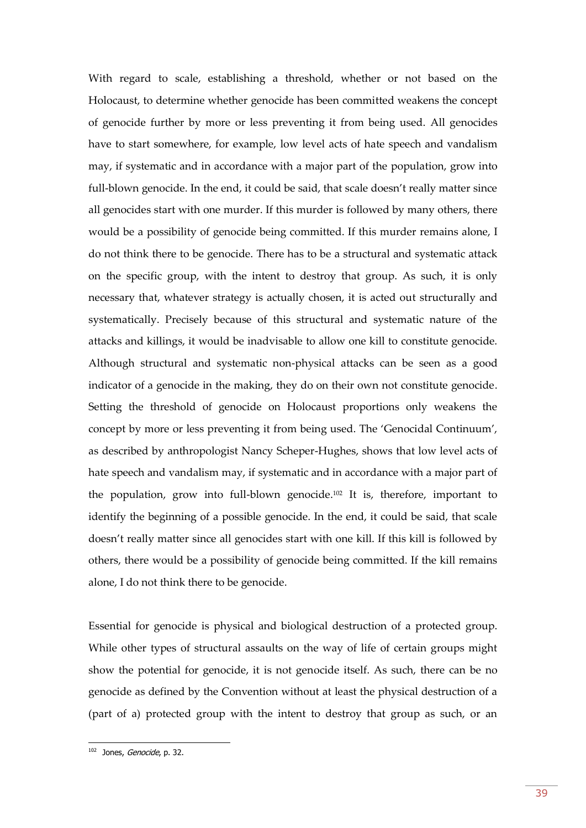With regard to scale, establishing a threshold, whether or not based on the Holocaust, to determine whether genocide has been committed weakens the concept of genocide further by more or less preventing it from being used. All genocides have to start somewhere, for example, low level acts of hate speech and vandalism may, if systematic and in accordance with a major part of the population, grow into full-blown genocide. In the end, it could be said, that scale doesn't really matter since all genocides start with one murder. If this murder is followed by many others, there would be a possibility of genocide being committed. If this murder remains alone, I do not think there to be genocide. There has to be a structural and systematic attack on the specific group, with the intent to destroy that group. As such, it is only necessary that, whatever strategy is actually chosen, it is acted out structurally and systematically. Precisely because of this structural and systematic nature of the attacks and killings, it would be inadvisable to allow one kill to constitute genocide. Although structural and systematic non-physical attacks can be seen as a good indicator of a genocide in the making, they do on their own not constitute genocide. Setting the threshold of genocide on Holocaust proportions only weakens the concept by more or less preventing it from being used. The 'Genocidal Continuum', as described by anthropologist Nancy Scheper-Hughes, shows that low level acts of hate speech and vandalism may, if systematic and in accordance with a major part of the population, grow into full-blown genocide.<sup>102</sup> It is, therefore, important to identify the beginning of a possible genocide. In the end, it could be said, that scale doesn't really matter since all genocides start with one kill. If this kill is followed by others, there would be a possibility of genocide being committed. If the kill remains alone, I do not think there to be genocide.

Essential for genocide is physical and biological destruction of a protected group. While other types of structural assaults on the way of life of certain groups might show the potential for genocide, it is not genocide itself. As such, there can be no genocide as defined by the Convention without at least the physical destruction of a (part of a) protected group with the intent to destroy that group as such, or an

<sup>&</sup>lt;sup>102</sup> Jones, *Genocide*, p. 32.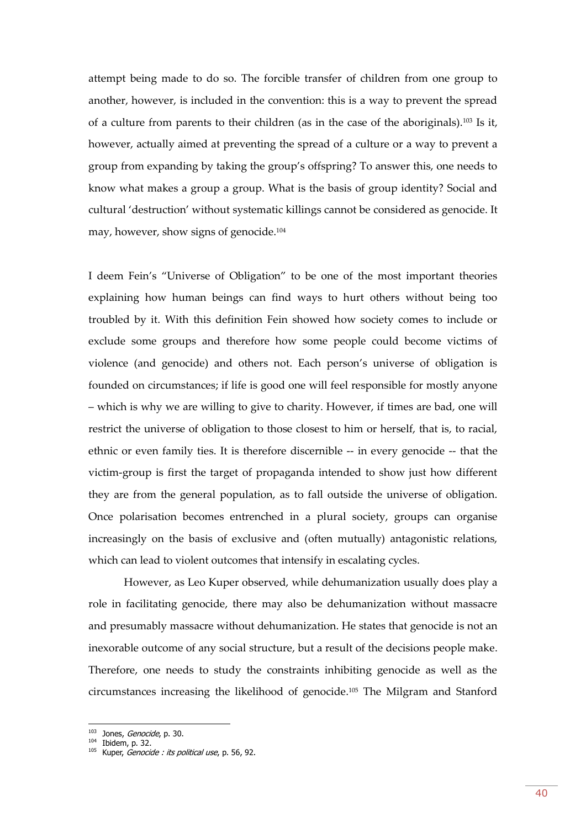attempt being made to do so. The forcible transfer of children from one group to another, however, is included in the convention: this is a way to prevent the spread of a culture from parents to their children (as in the case of the aboriginals).<sup>103</sup> Is it, however, actually aimed at preventing the spread of a culture or a way to prevent a group from expanding by taking the group's offspring? To answer this, one needs to know what makes a group a group. What is the basis of group identity? Social and cultural 'destruction' without systematic killings cannot be considered as genocide. It may, however, show signs of genocide.<sup>104</sup>

I deem Fein's "Universe of Obligation" to be one of the most important theories explaining how human beings can find ways to hurt others without being too troubled by it. With this definition Fein showed how society comes to include or exclude some groups and therefore how some people could become victims of violence (and genocide) and others not. Each person's universe of obligation is founded on circumstances; if life is good one will feel responsible for mostly anyone – which is why we are willing to give to charity. However, if times are bad, one will restrict the universe of obligation to those closest to him or herself, that is, to racial, ethnic or even family ties. It is therefore discernible -- in every genocide -- that the victim-group is first the target of propaganda intended to show just how different they are from the general population, as to fall outside the universe of obligation. Once polarisation becomes entrenched in a plural society, groups can organise increasingly on the basis of exclusive and (often mutually) antagonistic relations, which can lead to violent outcomes that intensify in escalating cycles.

However, as Leo Kuper observed, while dehumanization usually does play a role in facilitating genocide, there may also be dehumanization without massacre and presumably massacre without dehumanization. He states that genocide is not an inexorable outcome of any social structure, but a result of the decisions people make. Therefore, one needs to study the constraints inhibiting genocide as well as the circumstances increasing the likelihood of genocide.<sup>105</sup> The Milgram and Stanford

<sup>&</sup>lt;sup>103</sup> Jones, *Genocide*, p. 30.

 $104$  Ibidem, p. 32.

 $105$  Kuper, *Genocide : its political use*, p. 56, 92.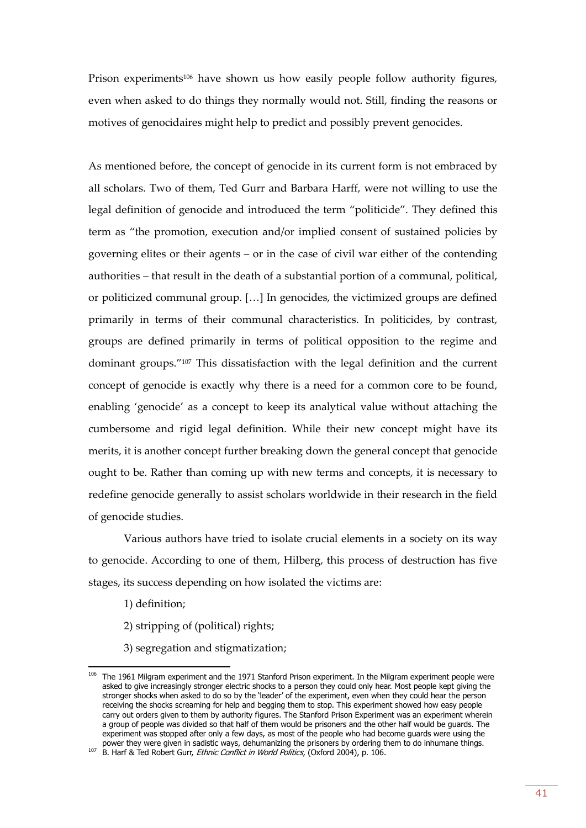Prison experiments<sup>106</sup> have shown us how easily people follow authority figures, even when asked to do things they normally would not. Still, finding the reasons or motives of genocidaires might help to predict and possibly prevent genocides.

As mentioned before, the concept of genocide in its current form is not embraced by all scholars. Two of them, Ted Gurr and Barbara Harff, were not willing to use the legal definition of genocide and introduced the term "politicide". They defined this term as "the promotion, execution and/or implied consent of sustained policies by governing elites or their agents – or in the case of civil war either of the contending authorities – that result in the death of a substantial portion of a communal, political, or politicized communal group. […] In genocides, the victimized groups are defined primarily in terms of their communal characteristics. In politicides, by contrast, groups are defined primarily in terms of political opposition to the regime and dominant groups."<sup>107</sup> This dissatisfaction with the legal definition and the current concept of genocide is exactly why there is a need for a common core to be found, enabling 'genocide' as a concept to keep its analytical value without attaching the cumbersome and rigid legal definition. While their new concept might have its merits, it is another concept further breaking down the general concept that genocide ought to be. Rather than coming up with new terms and concepts, it is necessary to redefine genocide generally to assist scholars worldwide in their research in the field of genocide studies.

Various authors have tried to isolate crucial elements in a society on its way to genocide. According to one of them, Hilberg, this process of destruction has five stages, its success depending on how isolated the victims are:

1) definition;

- 2) stripping of (political) rights;
- 3) segregation and stigmatization;

<sup>&</sup>lt;sup>106</sup> The 1961 Milgram experiment and the 1971 Stanford Prison experiment. In the Milgram experiment people were asked to give increasingly stronger electric shocks to a person they could only hear. Most people kept giving the stronger shocks when asked to do so by the 'leader' of the experiment, even when they could hear the person receiving the shocks screaming for help and begging them to stop. This experiment showed how easy people carry out orders given to them by authority figures. The Stanford Prison Experiment was an experiment wherein a group of people was divided so that half of them would be prisoners and the other half would be guards. The experiment was stopped after only a few days, as most of the people who had become guards were using the power they were given in sadistic ways, dehumanizing the prisoners by ordering them to do inhumane things.

<sup>107</sup> B. Harf & Ted Robert Gurr, *Ethnic Conflict in World Politics*, (Oxford 2004), p. 106.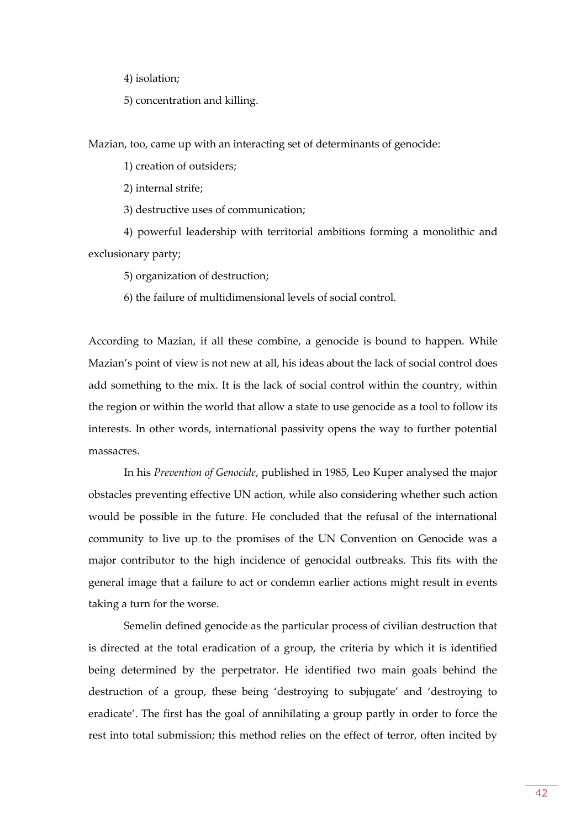4) isolation;

5) concentration and killing.

Mazian, too, came up with an interacting set of determinants of genocide:

1) creation of outsiders;

2) internal strife;

3) destructive uses of communication;

4) powerful leadership with territorial ambitions forming a monolithic and exclusionary party;

5) organization of destruction;

6) the failure of multidimensional levels of social control.

According to Mazian, if all these combine, a genocide is bound to happen. While Mazian's point of view is not new at all, his ideas about the lack of social control does add something to the mix. It is the lack of social control within the country, within the region or within the world that allow a state to use genocide as a tool to follow its interests. In other words, international passivity opens the way to further potential massacres.

In his *Prevention of Genocide*, published in 1985, Leo Kuper analysed the major obstacles preventing effective UN action, while also considering whether such action would be possible in the future. He concluded that the refusal of the international community to live up to the promises of the UN Convention on Genocide was a major contributor to the high incidence of genocidal outbreaks. This fits with the general image that a failure to act or condemn earlier actions might result in events taking a turn for the worse.

Semelin defined genocide as the particular process of civilian destruction that is directed at the total eradication of a group, the criteria by which it is identified being determined by the perpetrator. He identified two main goals behind the destruction of a group, these being 'destroying to subjugate' and 'destroying to eradicate'. The first has the goal of annihilating a group partly in order to force the rest into total submission; this method relies on the effect of terror, often incited by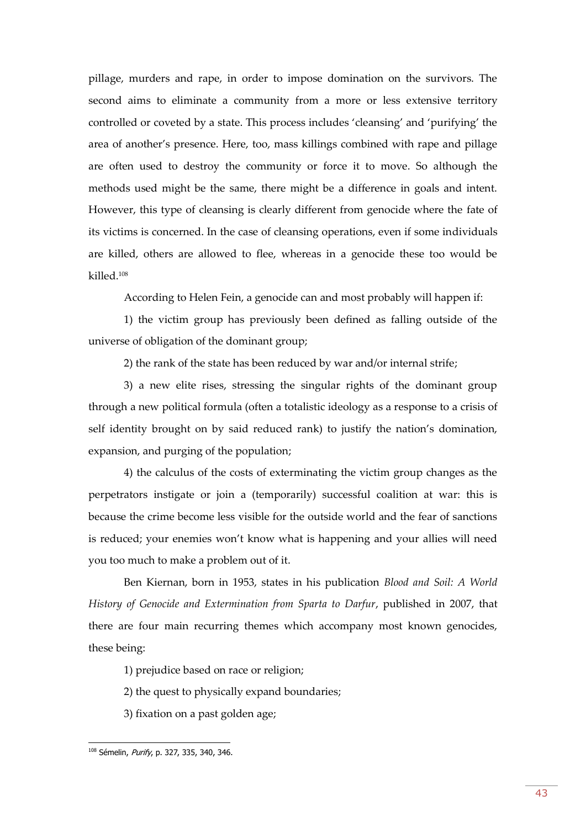pillage, murders and rape, in order to impose domination on the survivors. The second aims to eliminate a community from a more or less extensive territory controlled or coveted by a state. This process includes 'cleansing' and 'purifying' the area of another's presence. Here, too, mass killings combined with rape and pillage are often used to destroy the community or force it to move. So although the methods used might be the same, there might be a difference in goals and intent. However, this type of cleansing is clearly different from genocide where the fate of its victims is concerned. In the case of cleansing operations, even if some individuals are killed, others are allowed to flee, whereas in a genocide these too would be killed.<sup>108</sup>

According to Helen Fein, a genocide can and most probably will happen if:

1) the victim group has previously been defined as falling outside of the universe of obligation of the dominant group;

2) the rank of the state has been reduced by war and/or internal strife;

3) a new elite rises, stressing the singular rights of the dominant group through a new political formula (often a totalistic ideology as a response to a crisis of self identity brought on by said reduced rank) to justify the nation's domination, expansion, and purging of the population;

4) the calculus of the costs of exterminating the victim group changes as the perpetrators instigate or join a (temporarily) successful coalition at war: this is because the crime become less visible for the outside world and the fear of sanctions is reduced; your enemies won't know what is happening and your allies will need you too much to make a problem out of it.

Ben Kiernan, born in 1953, states in his publication *Blood and Soil: A World History of Genocide and Extermination from Sparta to Darfur*, published in 2007, that there are four main recurring themes which accompany most known genocides, these being:

1) prejudice based on race or religion;

2) the quest to physically expand boundaries;

3) fixation on a past golden age;

<sup>&</sup>lt;sup>108</sup> Sémelin, Purify, p. 327, 335, 340, 346.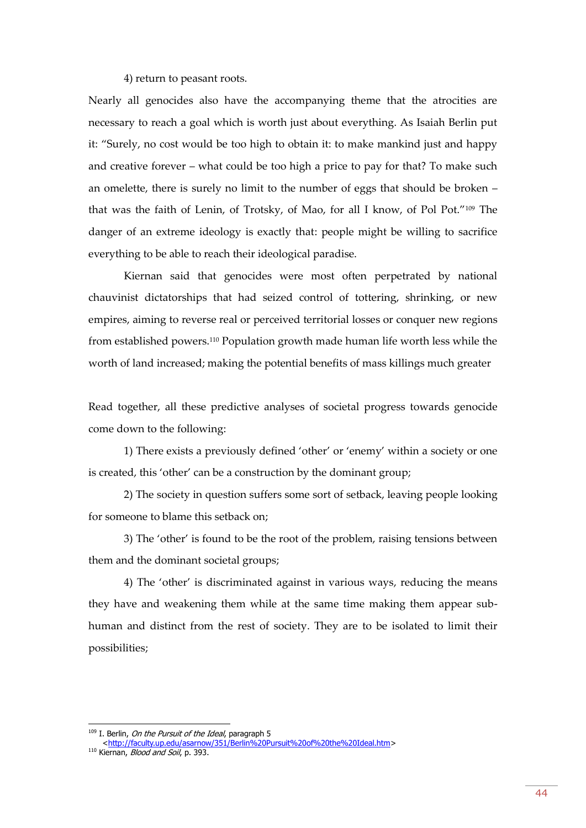#### 4) return to peasant roots.

Nearly all genocides also have the accompanying theme that the atrocities are necessary to reach a goal which is worth just about everything. As Isaiah Berlin put it: "Surely, no cost would be too high to obtain it: to make mankind just and happy and creative forever – what could be too high a price to pay for that? To make such an omelette, there is surely no limit to the number of eggs that should be broken – that was the faith of Lenin, of Trotsky, of Mao, for all I know, of Pol Pot."<sup>109</sup> The danger of an extreme ideology is exactly that: people might be willing to sacrifice everything to be able to reach their ideological paradise.

Kiernan said that genocides were most often perpetrated by national chauvinist dictatorships that had seized control of tottering, shrinking, or new empires, aiming to reverse real or perceived territorial losses or conquer new regions from established powers.<sup>110</sup> Population growth made human life worth less while the worth of land increased; making the potential benefits of mass killings much greater

Read together, all these predictive analyses of societal progress towards genocide come down to the following:

1) There exists a previously defined 'other' or 'enemy' within a society or one is created, this 'other' can be a construction by the dominant group;

2) The society in question suffers some sort of setback, leaving people looking for someone to blame this setback on;

3) The 'other' is found to be the root of the problem, raising tensions between them and the dominant societal groups;

4) The 'other' is discriminated against in various ways, reducing the means they have and weakening them while at the same time making them appear subhuman and distinct from the rest of society. They are to be isolated to limit their possibilities;

<sup>&</sup>lt;sup>109</sup> I. Berlin, *On the Pursuit of the Ideal*, paragraph 5

[<sup>&</sup>lt;http://faculty.up.edu/asarnow/351/Berlin%20Pursuit%20of%20the%20Ideal.htm>](http://faculty.up.edu/asarnow/351/Berlin%20Pursuit%20of%20the%20Ideal.htm) <sup>110</sup> Kiernan, *Blood and Soil*, p. 393.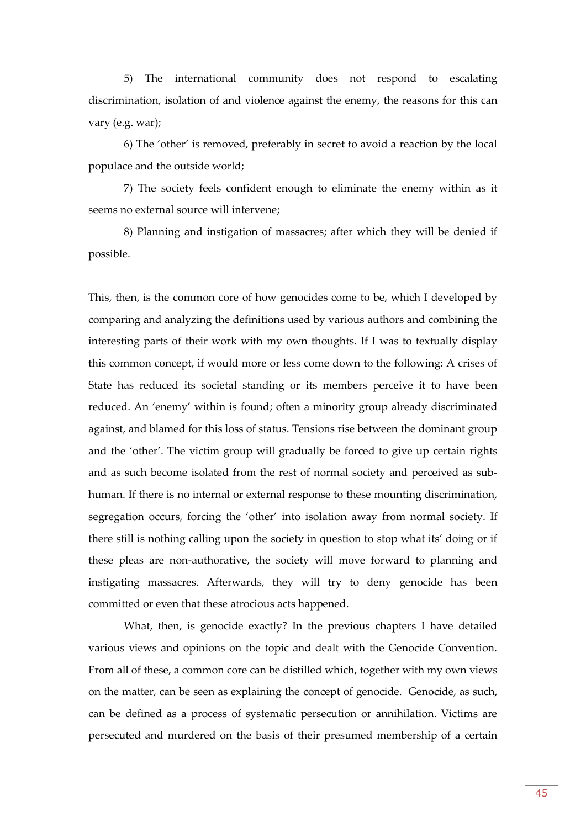5) The international community does not respond to escalating discrimination, isolation of and violence against the enemy, the reasons for this can vary (e.g. war);

6) The 'other' is removed, preferably in secret to avoid a reaction by the local populace and the outside world;

7) The society feels confident enough to eliminate the enemy within as it seems no external source will intervene;

8) Planning and instigation of massacres; after which they will be denied if possible.

This, then, is the common core of how genocides come to be, which I developed by comparing and analyzing the definitions used by various authors and combining the interesting parts of their work with my own thoughts. If I was to textually display this common concept, if would more or less come down to the following: A crises of State has reduced its societal standing or its members perceive it to have been reduced. An 'enemy' within is found; often a minority group already discriminated against, and blamed for this loss of status. Tensions rise between the dominant group and the 'other'. The victim group will gradually be forced to give up certain rights and as such become isolated from the rest of normal society and perceived as subhuman. If there is no internal or external response to these mounting discrimination, segregation occurs, forcing the 'other' into isolation away from normal society. If there still is nothing calling upon the society in question to stop what its' doing or if these pleas are non-authorative, the society will move forward to planning and instigating massacres. Afterwards, they will try to deny genocide has been committed or even that these atrocious acts happened.

What, then, is genocide exactly? In the previous chapters I have detailed various views and opinions on the topic and dealt with the Genocide Convention. From all of these, a common core can be distilled which, together with my own views on the matter, can be seen as explaining the concept of genocide. Genocide, as such, can be defined as a process of systematic persecution or annihilation. Victims are persecuted and murdered on the basis of their presumed membership of a certain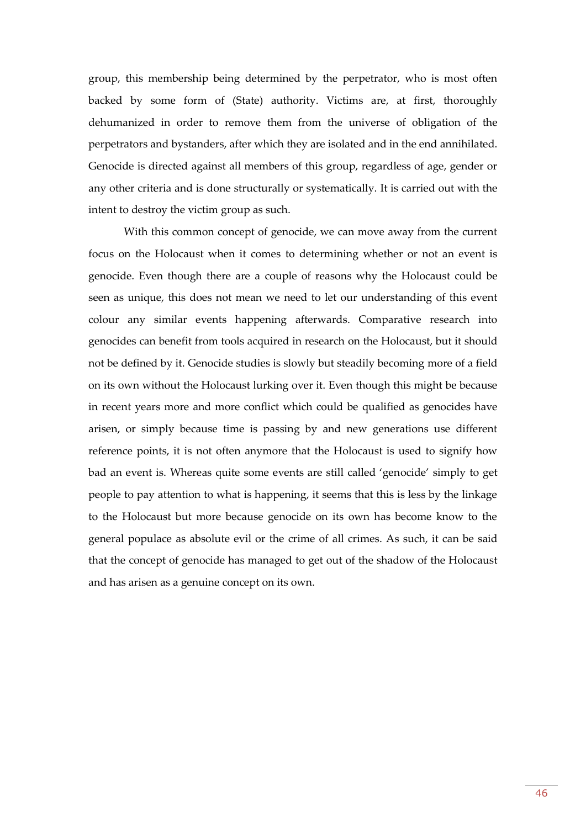group, this membership being determined by the perpetrator, who is most often backed by some form of (State) authority. Victims are, at first, thoroughly dehumanized in order to remove them from the universe of obligation of the perpetrators and bystanders, after which they are isolated and in the end annihilated. Genocide is directed against all members of this group, regardless of age, gender or any other criteria and is done structurally or systematically. It is carried out with the intent to destroy the victim group as such.

With this common concept of genocide, we can move away from the current focus on the Holocaust when it comes to determining whether or not an event is genocide. Even though there are a couple of reasons why the Holocaust could be seen as unique, this does not mean we need to let our understanding of this event colour any similar events happening afterwards. Comparative research into genocides can benefit from tools acquired in research on the Holocaust, but it should not be defined by it. Genocide studies is slowly but steadily becoming more of a field on its own without the Holocaust lurking over it. Even though this might be because in recent years more and more conflict which could be qualified as genocides have arisen, or simply because time is passing by and new generations use different reference points, it is not often anymore that the Holocaust is used to signify how bad an event is. Whereas quite some events are still called 'genocide' simply to get people to pay attention to what is happening, it seems that this is less by the linkage to the Holocaust but more because genocide on its own has become know to the general populace as absolute evil or the crime of all crimes. As such, it can be said that the concept of genocide has managed to get out of the shadow of the Holocaust and has arisen as a genuine concept on its own.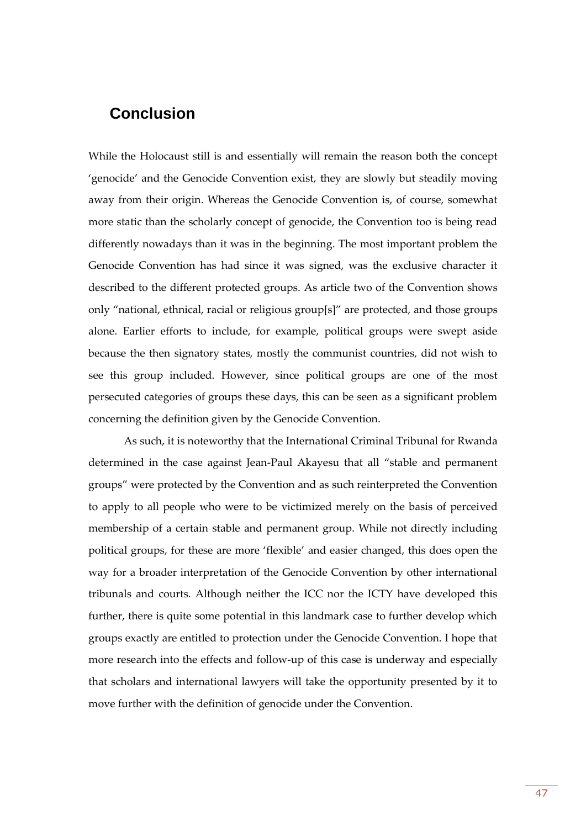## <span id="page-46-0"></span>**Conclusion**

While the Holocaust still is and essentially will remain the reason both the concept 'genocide' and the Genocide Convention exist, they are slowly but steadily moving away from their origin. Whereas the Genocide Convention is, of course, somewhat more static than the scholarly concept of genocide, the Convention too is being read differently nowadays than it was in the beginning. The most important problem the Genocide Convention has had since it was signed, was the exclusive character it described to the different protected groups. As article two of the Convention shows only "national, ethnical, racial or religious group[s]" are protected, and those groups alone. Earlier efforts to include, for example, political groups were swept aside because the then signatory states, mostly the communist countries, did not wish to see this group included. However, since political groups are one of the most persecuted categories of groups these days, this can be seen as a significant problem concerning the definition given by the Genocide Convention.

As such, it is noteworthy that the International Criminal Tribunal for Rwanda determined in the case against Jean-Paul Akayesu that all "stable and permanent groups" were protected by the Convention and as such reinterpreted the Convention to apply to all people who were to be victimized merely on the basis of perceived membership of a certain stable and permanent group. While not directly including political groups, for these are more 'flexible' and easier changed, this does open the way for a broader interpretation of the Genocide Convention by other international tribunals and courts. Although neither the ICC nor the ICTY have developed this further, there is quite some potential in this landmark case to further develop which groups exactly are entitled to protection under the Genocide Convention. I hope that more research into the effects and follow-up of this case is underway and especially that scholars and international lawyers will take the opportunity presented by it to move further with the definition of genocide under the Convention.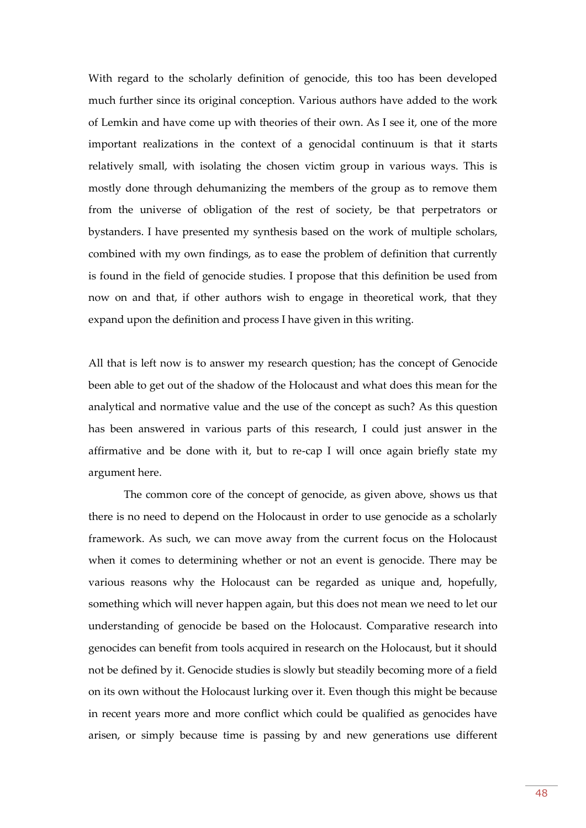With regard to the scholarly definition of genocide, this too has been developed much further since its original conception. Various authors have added to the work of Lemkin and have come up with theories of their own. As I see it, one of the more important realizations in the context of a genocidal continuum is that it starts relatively small, with isolating the chosen victim group in various ways. This is mostly done through dehumanizing the members of the group as to remove them from the universe of obligation of the rest of society, be that perpetrators or bystanders. I have presented my synthesis based on the work of multiple scholars, combined with my own findings, as to ease the problem of definition that currently is found in the field of genocide studies. I propose that this definition be used from now on and that, if other authors wish to engage in theoretical work, that they expand upon the definition and process I have given in this writing.

All that is left now is to answer my research question; has the concept of Genocide been able to get out of the shadow of the Holocaust and what does this mean for the analytical and normative value and the use of the concept as such? As this question has been answered in various parts of this research, I could just answer in the affirmative and be done with it, but to re-cap I will once again briefly state my argument here.

The common core of the concept of genocide, as given above, shows us that there is no need to depend on the Holocaust in order to use genocide as a scholarly framework. As such, we can move away from the current focus on the Holocaust when it comes to determining whether or not an event is genocide. There may be various reasons why the Holocaust can be regarded as unique and, hopefully, something which will never happen again, but this does not mean we need to let our understanding of genocide be based on the Holocaust. Comparative research into genocides can benefit from tools acquired in research on the Holocaust, but it should not be defined by it. Genocide studies is slowly but steadily becoming more of a field on its own without the Holocaust lurking over it. Even though this might be because in recent years more and more conflict which could be qualified as genocides have arisen, or simply because time is passing by and new generations use different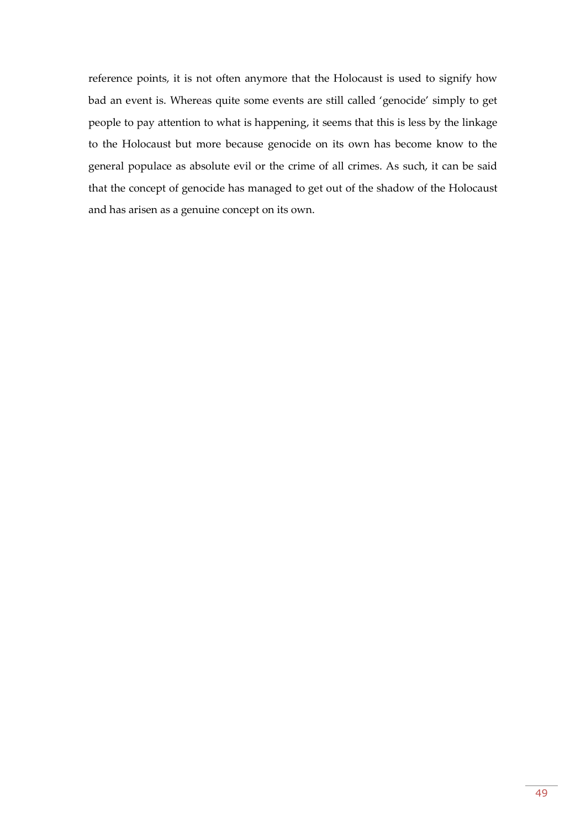reference points, it is not often anymore that the Holocaust is used to signify how bad an event is. Whereas quite some events are still called 'genocide' simply to get people to pay attention to what is happening, it seems that this is less by the linkage to the Holocaust but more because genocide on its own has become know to the general populace as absolute evil or the crime of all crimes. As such, it can be said that the concept of genocide has managed to get out of the shadow of the Holocaust and has arisen as a genuine concept on its own.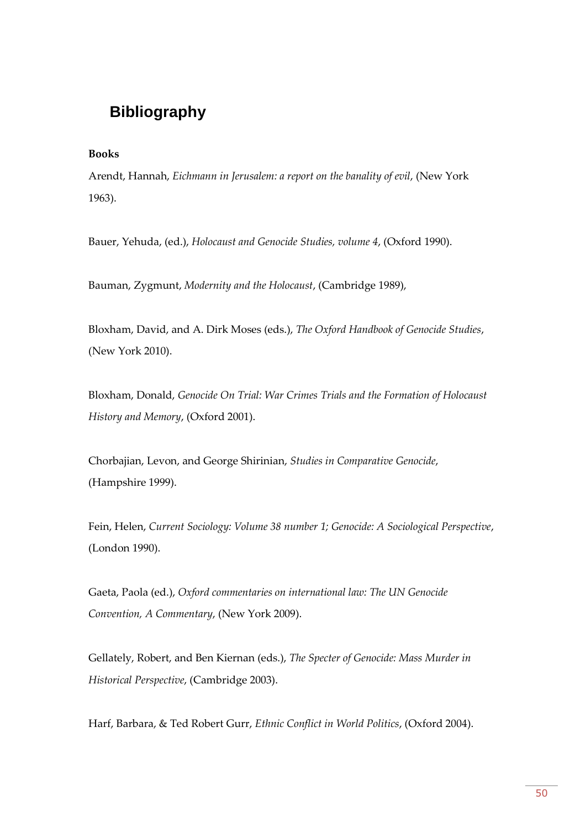## <span id="page-49-0"></span>**Bibliography**

#### **Books**

Arendt, Hannah, *Eichmann in Jerusalem: a report on the banality of evil*, (New York 1963).

Bauer, Yehuda, (ed.), *Holocaust and Genocide Studies, volume 4*, (Oxford 1990).

Bauman, Zygmunt, *Modernity and the Holocaust*, (Cambridge 1989),

Bloxham, David, and A. Dirk Moses (eds.), *The Oxford Handbook of Genocide Studies*, (New York 2010).

Bloxham, Donald, *Genocide On Trial: War Crimes Trials and the Formation of Holocaust History and Memory*, (Oxford 2001).

Chorbajian, Levon, and George Shirinian, *Studies in Comparative Genocide*, (Hampshire 1999).

Fein, Helen, *Current Sociology: Volume 38 number 1; Genocide: A Sociological Perspective*, (London 1990).

Gaeta, Paola (ed.), *Oxford commentaries on international law: The UN Genocide Convention, A Commentary*, (New York 2009).

Gellately, Robert, and Ben Kiernan (eds.), *The Specter of Genocide: Mass Murder in Historical Perspective*, (Cambridge 2003).

Harf, Barbara, & Ted Robert Gurr, *Ethnic Conflict in World Politics*, (Oxford 2004).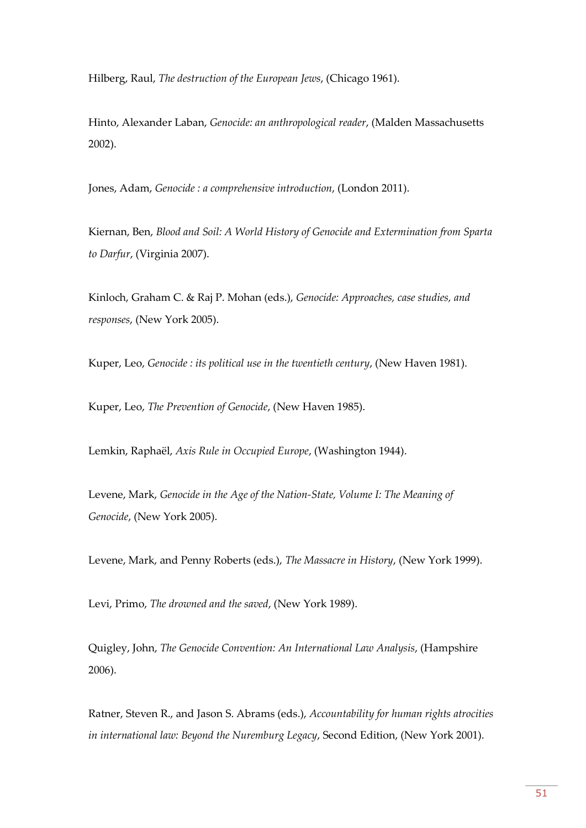Hilberg, Raul, *The destruction of the European Jews*, (Chicago 1961).

Hinto, Alexander Laban, *Genocide: an anthropological reader*, (Malden Massachusetts 2002).

Jones, Adam, *Genocide : a comprehensive introduction*, (London 2011).

Kiernan, Ben, *Blood and Soil: A World History of Genocide and Extermination from Sparta to Darfur*, (Virginia 2007).

Kinloch, Graham C. & Raj P. Mohan (eds.), *Genocide: Approaches, case studies, and responses*, (New York 2005).

Kuper, Leo, *Genocide : its political use in the twentieth century*, (New Haven 1981).

Kuper, Leo, *The Prevention of Genocide*, (New Haven 1985).

Lemkin, Raphaël, *Axis Rule in Occupied Europe*, (Washington 1944).

Levene, Mark, *Genocide in the Age of the Nation-State, Volume I: The Meaning of Genocide*, (New York 2005).

Levene, Mark, and Penny Roberts (eds.), *The Massacre in History*, (New York 1999).

Levi, Primo, *The drowned and the saved*, (New York 1989).

Quigley, John, *The Genocide Convention: An International Law Analysis*, (Hampshire 2006).

Ratner, Steven R., and Jason S. Abrams (eds.), *Accountability for human rights atrocities in international law: Beyond the Nuremburg Legacy*, Second Edition, (New York 2001).